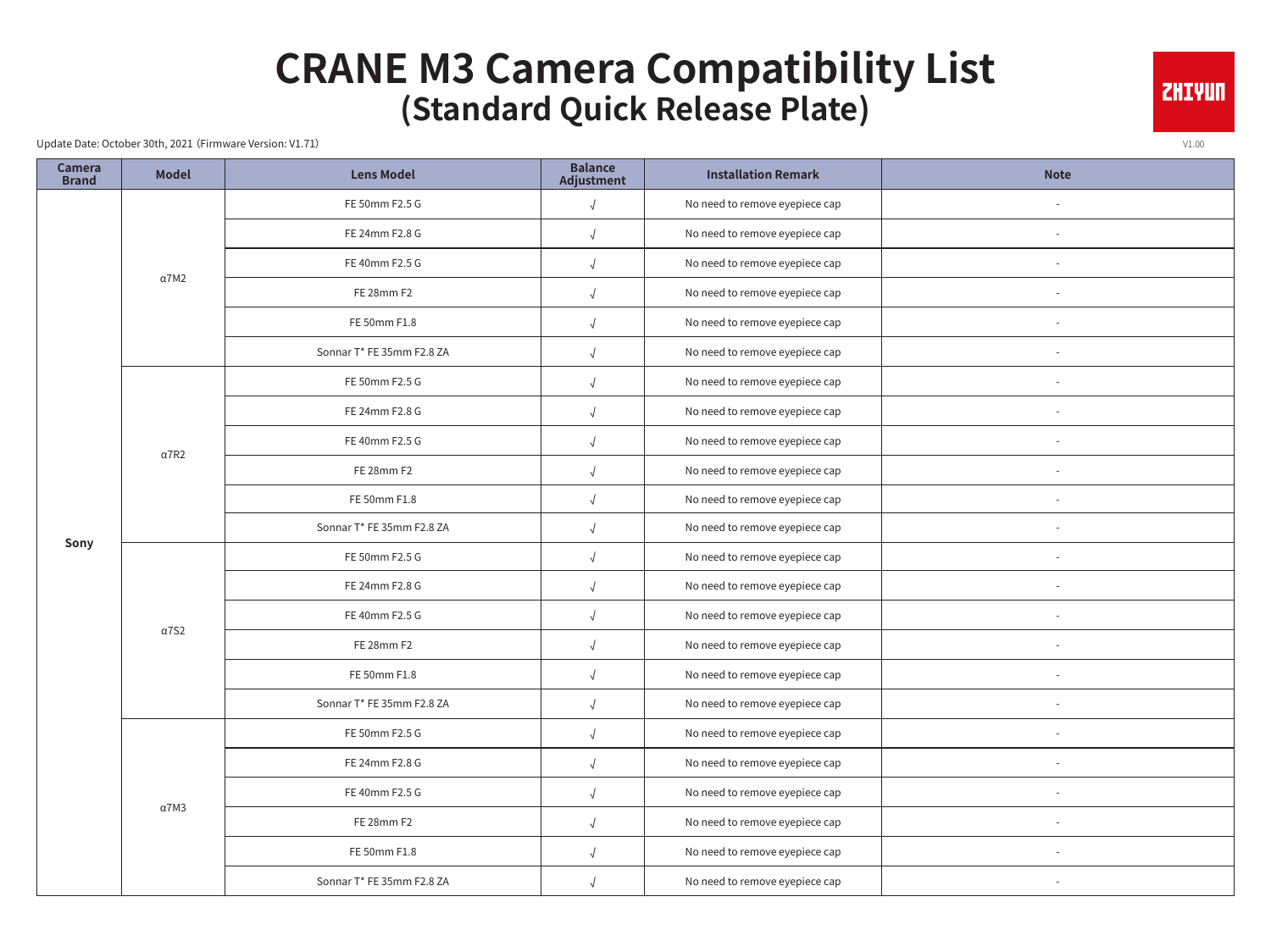## **CRANE M3 Camera Compatibility List (Standard Quick Release Plate)**

Update Date: October 30th, 2021 (Firmware Version: V1.71) v1.00

| <b>Camera</b><br><b>Brand</b> | <b>Model</b> | <b>Lens Model</b>         | <b>Balance</b><br>Adjustment | <b>Installation Remark</b>     | <b>Note</b> |
|-------------------------------|--------------|---------------------------|------------------------------|--------------------------------|-------------|
|                               |              | FE 50mm F2.5 G            | $\sqrt{ }$                   | No need to remove eyepiece cap |             |
|                               |              | FE 24mm F2.8 G            | $\sqrt{ }$                   | No need to remove eyepiece cap |             |
|                               | $\alpha$ 7M2 | FE 40mm F2.5 G            | $\sqrt{ }$                   | No need to remove eyepiece cap |             |
|                               |              | FE 28mm F2                | $\sqrt{ }$                   | No need to remove eyepiece cap |             |
|                               |              | FE 50mm F1.8              |                              | No need to remove eyepiece cap |             |
|                               |              | Sonnar T* FE 35mm F2.8 ZA |                              | No need to remove eyepiece cap |             |
|                               |              | FE 50mm F2.5 G            |                              | No need to remove eyepiece cap |             |
|                               |              | FE 24mm F2.8 G            | $\sqrt{ }$                   | No need to remove eyepiece cap |             |
|                               | $\alpha$ 7R2 | FE 40mm F2.5 G            | $\sqrt{ }$                   | No need to remove eyepiece cap |             |
|                               |              | FE 28mm F2                | $\sqrt{ }$                   | No need to remove eyepiece cap |             |
|                               |              | FE 50mm F1.8              |                              | No need to remove eyepiece cap |             |
| Sony                          |              | Sonnar T* FE 35mm F2.8 ZA | $\sqrt{ }$                   | No need to remove eyepiece cap |             |
|                               |              | FE 50mm F2.5 G            | $\sqrt{2}$                   | No need to remove eyepiece cap |             |
|                               |              | FE 24mm F2.8 G            |                              | No need to remove eyepiece cap |             |
|                               | $\alpha$ 7S2 | FE 40mm F2.5 G            |                              | No need to remove eyepiece cap |             |
|                               |              | FE 28mm F2                |                              | No need to remove eyepiece cap |             |
|                               |              | FE 50mm F1.8              | $\sqrt{ }$                   | No need to remove eyepiece cap |             |
|                               |              | Sonnar T* FE 35mm F2.8 ZA |                              | No need to remove eyepiece cap |             |
|                               |              | FE 50mm F2.5 G            |                              | No need to remove eyepiece cap |             |
|                               |              | FE 24mm F2.8 G            |                              | No need to remove eyepiece cap |             |
|                               | $\alpha$ 7M3 | FE 40mm F2.5 G            | $\sqrt{2}$                   | No need to remove eyepiece cap |             |
|                               |              | FE 28mm F2                | $\sqrt{ }$                   | No need to remove eyepiece cap |             |
|                               |              | FE 50mm F1.8              | $\sqrt{2}$                   | No need to remove eyepiece cap |             |
|                               |              | Sonnar T* FE 35mm F2.8 ZA | $\sqrt{ }$                   | No need to remove eyepiece cap |             |

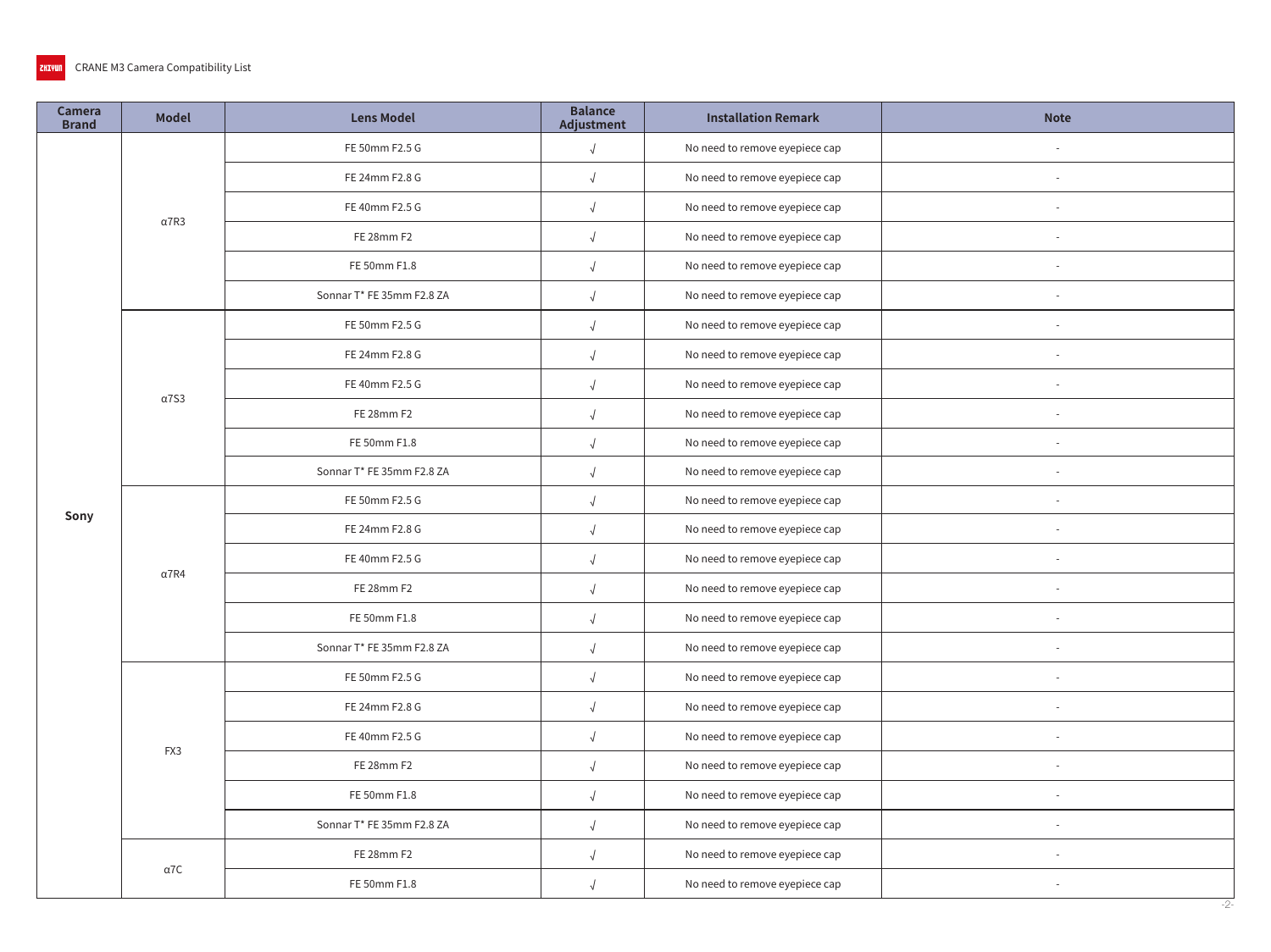| Camera<br><b>Brand</b> | <b>Model</b> | <b>Lens Model</b>         | <b>Balance</b><br>Adjustment | <b>Installation Remark</b>     | <b>Note</b>     |
|------------------------|--------------|---------------------------|------------------------------|--------------------------------|-----------------|
|                        |              | FE 50mm F2.5 G            | $\sqrt{ }$                   | No need to remove eyepiece cap |                 |
|                        |              | FE 24mm F2.8 G            | $\sqrt{2}$                   | No need to remove eyepiece cap |                 |
|                        | $\alpha$ 7R3 | FE 40mm F2.5 G            |                              | No need to remove eyepiece cap |                 |
|                        |              | FE 28mm F2                |                              | No need to remove eyepiece cap | $\sim$          |
|                        |              | FE 50mm F1.8              | $\sqrt{ }$                   | No need to remove eyepiece cap |                 |
|                        |              | Sonnar T* FE 35mm F2.8 ZA | $\sqrt{ }$                   | No need to remove eyepiece cap |                 |
|                        |              | FE 50mm F2.5 G            | $\sqrt{ }$                   | No need to remove eyepiece cap |                 |
|                        |              | FE 24mm F2.8 G            | $\sqrt{ }$                   | No need to remove eyepiece cap | $\sim$          |
|                        | $\alpha$ 7S3 | FE 40mm F2.5 G            | $\sqrt{2}$                   | No need to remove eyepiece cap | $\sim$          |
|                        |              | FE 28mm F2                | $\sqrt{ }$                   | No need to remove eyepiece cap |                 |
|                        |              | FE 50mm F1.8              | $\sqrt{ }$                   | No need to remove eyepiece cap |                 |
|                        |              | Sonnar T* FE 35mm F2.8 ZA |                              | No need to remove eyepiece cap |                 |
| Sony                   | $\alpha$ 7R4 | FE 50mm F2.5 G            |                              | No need to remove eyepiece cap | $\sim$          |
|                        |              | FE 24mm F2.8 G            | $\sqrt{ }$                   | No need to remove eyepiece cap | $\sim$          |
|                        |              | FE 40mm F2.5 G            | $\sqrt{2}$                   | No need to remove eyepiece cap | $\sim$          |
|                        |              | FE 28mm F2                | $\sqrt{2}$                   | No need to remove eyepiece cap |                 |
|                        |              | FE 50mm F1.8              | $\sqrt{ }$                   | No need to remove eyepiece cap | $\sim$          |
|                        |              | Sonnar T* FE 35mm F2.8 ZA | $\sqrt{}$                    | No need to remove eyepiece cap | $\sim$          |
|                        |              | FE 50mm F2.5 G            |                              | No need to remove eyepiece cap | $\sim$          |
|                        |              | FE 24mm F2.8 G            | $\sqrt{ }$                   | No need to remove eyepiece cap |                 |
|                        | FX3          | FE 40mm F2.5 G            | $\sqrt{ }$                   | No need to remove eyepiece cap | $\sim$          |
|                        |              | FE 28mm F2                | $\sqrt{2}$                   | No need to remove eyepiece cap |                 |
|                        |              | FE 50mm F1.8              | $\sqrt{ }$                   | No need to remove eyepiece cap | $\sim$          |
|                        |              | Sonnar T* FE 35mm F2.8 ZA | $\sqrt{ }$                   | No need to remove eyepiece cap |                 |
|                        | $\alpha$ 7C  | FE 28mm F2                | $\sqrt{2}$                   | No need to remove eyepiece cap |                 |
|                        |              | FE 50mm F1.8              | $\sqrt{ }$                   | No need to remove eyepiece cap | $\sim$<br>$-2-$ |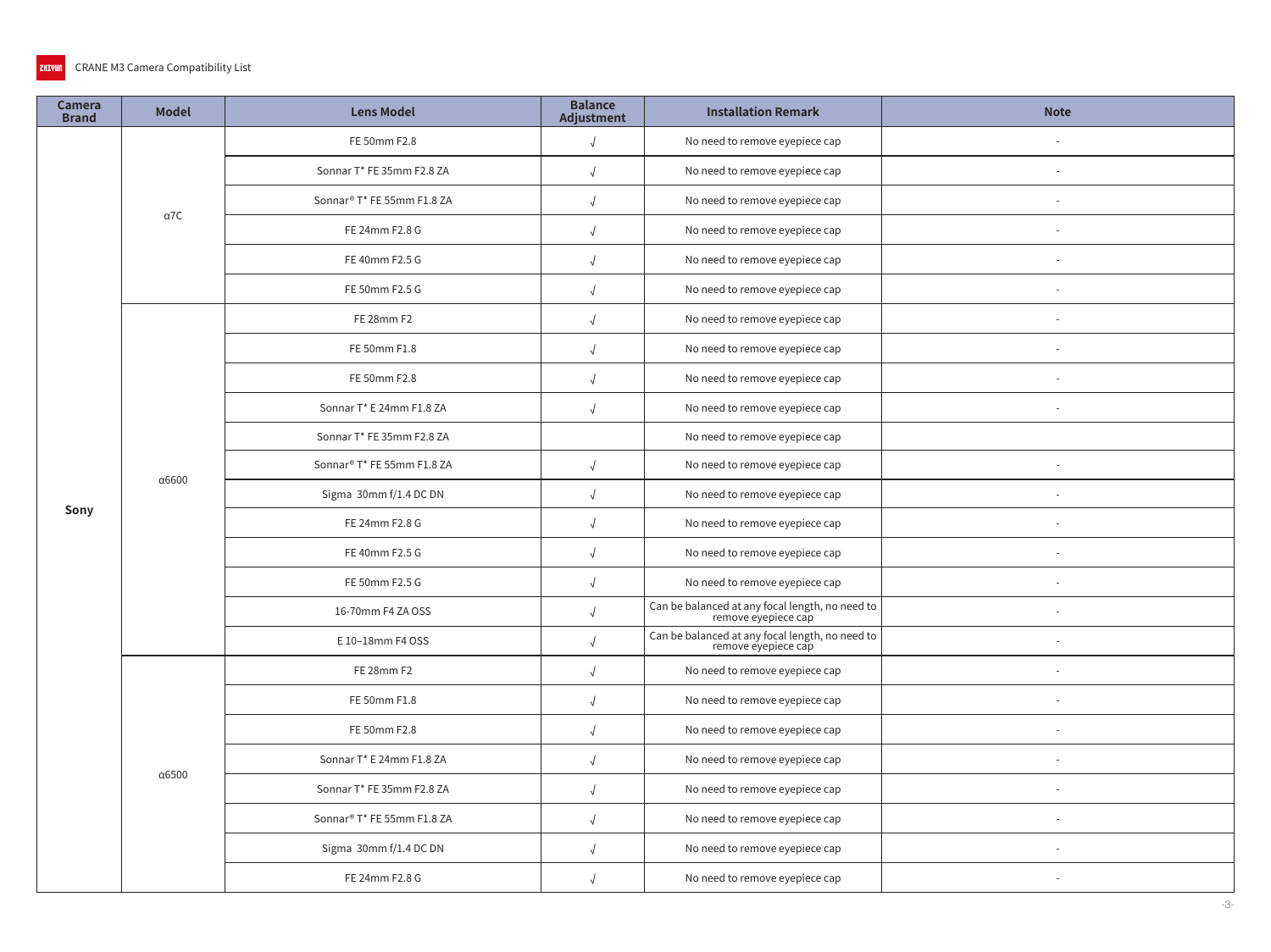### CRANE M3 Camera Compatibility List ZHIYUN

| Camera<br><b>Brand</b> | <b>Model</b>  | <b>Lens Model</b>                      | <b>Balance</b><br>Adjustment | <b>Installation Remark</b>                                                                                                                                                                                                                                                                                                                                                                                                                                                                                                                                                                                                                                                                                                                                                                                                                   | <b>Note</b> |
|------------------------|---------------|----------------------------------------|------------------------------|----------------------------------------------------------------------------------------------------------------------------------------------------------------------------------------------------------------------------------------------------------------------------------------------------------------------------------------------------------------------------------------------------------------------------------------------------------------------------------------------------------------------------------------------------------------------------------------------------------------------------------------------------------------------------------------------------------------------------------------------------------------------------------------------------------------------------------------------|-------------|
|                        |               | FE 50mm F2.8                           | $\sqrt{2}$                   | No need to remove eyepiece cap<br>No need to remove eyepiece cap<br>No need to remove eyepiece cap<br>No need to remove eyepiece cap<br>No need to remove eyepiece cap<br>No need to remove eyepiece cap<br>No need to remove eyepiece cap<br>No need to remove eyepiece cap<br>No need to remove eyepiece cap<br>No need to remove eyepiece cap<br>No need to remove eyepiece cap<br>No need to remove eyepiece cap<br>No need to remove eyepiece cap<br>No need to remove eyepiece cap<br>No need to remove eyepiece cap<br>No need to remove eyepiece cap<br>No need to remove eyepiece cap<br>No need to remove eyepiece cap<br>No need to remove eyepiece cap<br>No need to remove eyepiece cap<br>No need to remove eyepiece cap<br>No need to remove eyepiece cap<br>No need to remove eyepiece cap<br>No need to remove eyepiece cap |             |
| Sony                   |               | Sonnar T* FE 35mm F2.8 ZA              | $\sqrt{ }$                   |                                                                                                                                                                                                                                                                                                                                                                                                                                                                                                                                                                                                                                                                                                                                                                                                                                              |             |
|                        | $\alpha$ 7C   | Sonnar® T* FE 55mm F1.8 ZA             | $\sqrt{ }$                   |                                                                                                                                                                                                                                                                                                                                                                                                                                                                                                                                                                                                                                                                                                                                                                                                                                              |             |
|                        |               | FE 24mm F2.8 G                         |                              |                                                                                                                                                                                                                                                                                                                                                                                                                                                                                                                                                                                                                                                                                                                                                                                                                                              |             |
|                        |               | FE 40mm F2.5 G                         | $\sqrt{ }$                   |                                                                                                                                                                                                                                                                                                                                                                                                                                                                                                                                                                                                                                                                                                                                                                                                                                              |             |
|                        |               | FE 50mm F2.5 G                         | $\sqrt{ }$                   | Can be balanced at any focal length, no need to<br>remove eyepiece cap<br>Can be balanced at any focal length, no need to<br>remove eyepiece cap                                                                                                                                                                                                                                                                                                                                                                                                                                                                                                                                                                                                                                                                                             |             |
|                        |               | FE 28mm F2                             | $\sqrt{ }$                   |                                                                                                                                                                                                                                                                                                                                                                                                                                                                                                                                                                                                                                                                                                                                                                                                                                              |             |
|                        |               | FE 50mm F1.8                           | $\sqrt{ }$                   |                                                                                                                                                                                                                                                                                                                                                                                                                                                                                                                                                                                                                                                                                                                                                                                                                                              |             |
|                        |               | FE 50mm F2.8                           | $\sqrt{2}$                   |                                                                                                                                                                                                                                                                                                                                                                                                                                                                                                                                                                                                                                                                                                                                                                                                                                              |             |
|                        |               | Sonnar T* E 24mm F1.8 ZA               | $\sqrt{ }$                   |                                                                                                                                                                                                                                                                                                                                                                                                                                                                                                                                                                                                                                                                                                                                                                                                                                              |             |
|                        | α6600         | Sonnar T* FE 35mm F2.8 ZA              |                              |                                                                                                                                                                                                                                                                                                                                                                                                                                                                                                                                                                                                                                                                                                                                                                                                                                              |             |
|                        |               | Sonnar <sup>®</sup> T* FE 55mm F1.8 ZA | $\sqrt{ }$                   |                                                                                                                                                                                                                                                                                                                                                                                                                                                                                                                                                                                                                                                                                                                                                                                                                                              |             |
|                        |               | Sigma 30mm f/1.4 DC DN                 | $\sqrt{ }$                   |                                                                                                                                                                                                                                                                                                                                                                                                                                                                                                                                                                                                                                                                                                                                                                                                                                              |             |
|                        |               | FE 24mm F2.8 G                         | $\sqrt{ }$                   |                                                                                                                                                                                                                                                                                                                                                                                                                                                                                                                                                                                                                                                                                                                                                                                                                                              |             |
|                        |               | FE 40mm F2.5 G                         | $\sqrt{2}$                   |                                                                                                                                                                                                                                                                                                                                                                                                                                                                                                                                                                                                                                                                                                                                                                                                                                              |             |
|                        |               | FE 50mm F2.5 G                         | $\sqrt{2}$                   |                                                                                                                                                                                                                                                                                                                                                                                                                                                                                                                                                                                                                                                                                                                                                                                                                                              |             |
|                        |               | 16-70mm F4 ZA OSS                      | $\sqrt{ }$                   |                                                                                                                                                                                                                                                                                                                                                                                                                                                                                                                                                                                                                                                                                                                                                                                                                                              |             |
|                        |               | E 10-18mm F4 OSS                       | $\sqrt{2}$                   |                                                                                                                                                                                                                                                                                                                                                                                                                                                                                                                                                                                                                                                                                                                                                                                                                                              |             |
|                        |               | FE 28mm F2                             |                              |                                                                                                                                                                                                                                                                                                                                                                                                                                                                                                                                                                                                                                                                                                                                                                                                                                              |             |
|                        |               | FE 50mm F1.8                           | $\sqrt{ }$                   |                                                                                                                                                                                                                                                                                                                                                                                                                                                                                                                                                                                                                                                                                                                                                                                                                                              |             |
|                        |               | FE 50mm F2.8                           | $\sqrt{ }$                   |                                                                                                                                                                                                                                                                                                                                                                                                                                                                                                                                                                                                                                                                                                                                                                                                                                              |             |
|                        | $\alpha$ 6500 | Sonnar T* E 24mm F1.8 ZA               | $\sqrt{ }$                   |                                                                                                                                                                                                                                                                                                                                                                                                                                                                                                                                                                                                                                                                                                                                                                                                                                              |             |
|                        |               | Sonnar T* FE 35mm F2.8 ZA              | $\sqrt{ }$                   |                                                                                                                                                                                                                                                                                                                                                                                                                                                                                                                                                                                                                                                                                                                                                                                                                                              |             |
|                        |               | Sonnar® T* FE 55mm F1.8 ZA             | $\sqrt{2}$                   |                                                                                                                                                                                                                                                                                                                                                                                                                                                                                                                                                                                                                                                                                                                                                                                                                                              |             |
|                        |               | Sigma 30mm f/1.4 DC DN                 | $\sqrt{ }$                   |                                                                                                                                                                                                                                                                                                                                                                                                                                                                                                                                                                                                                                                                                                                                                                                                                                              |             |
|                        |               | FE 24mm F2.8 G                         | $\sqrt{2}$                   |                                                                                                                                                                                                                                                                                                                                                                                                                                                                                                                                                                                                                                                                                                                                                                                                                                              |             |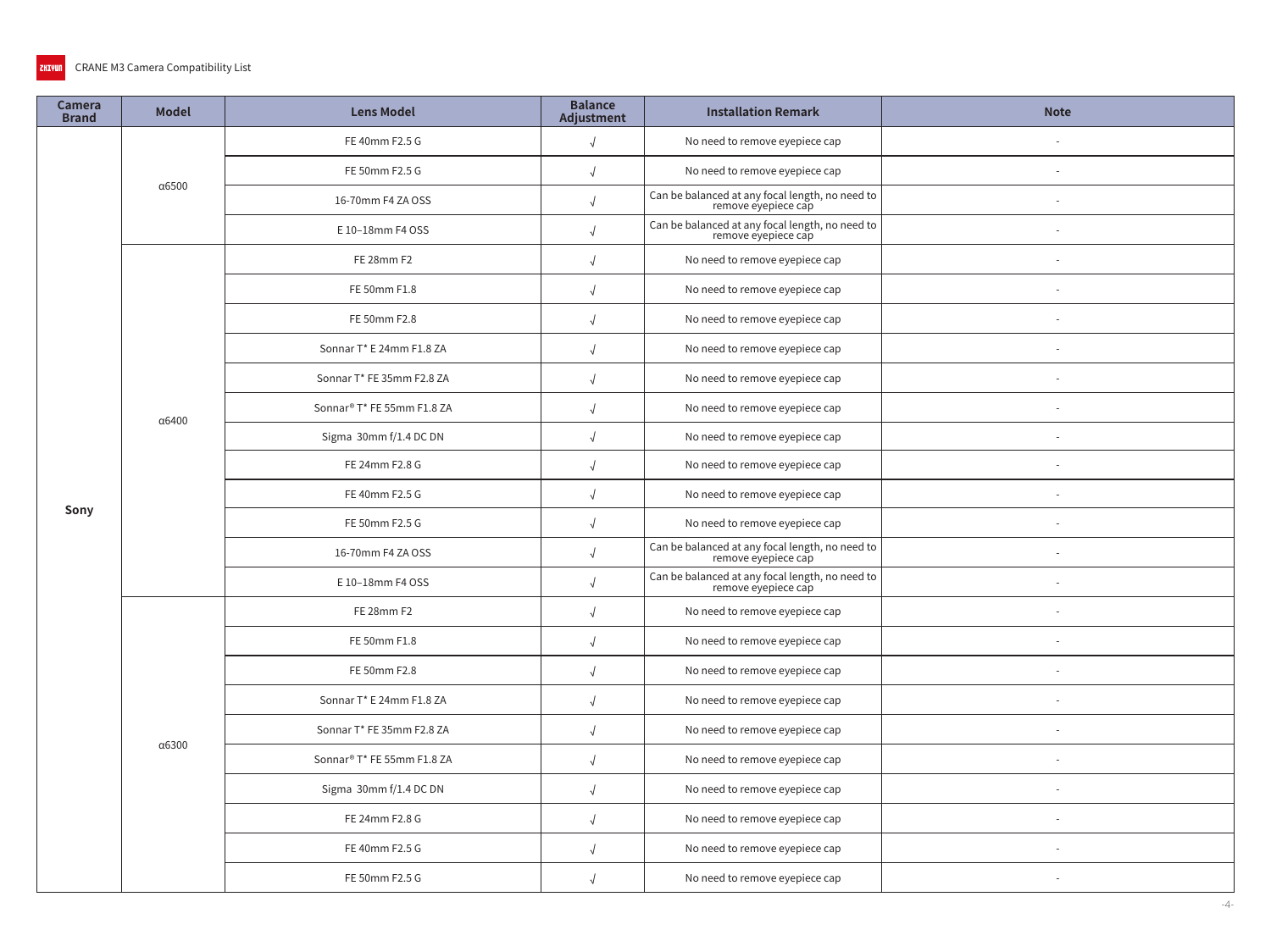## **ZHIVUN** CRANE M3 Camera Compatibility List

| Camera<br><b>Brand</b> | <b>Model</b>  | <b>Lens Model</b> | <b>Balance</b><br>Adjustment                                                                                                                                                                                                                                                                                                                                                                                                                                                                                                                                                                                                                                                                                                                                                                                                                                                             | <b>Installation Remark</b>                                             | <b>Note</b> |
|------------------------|---------------|-------------------|------------------------------------------------------------------------------------------------------------------------------------------------------------------------------------------------------------------------------------------------------------------------------------------------------------------------------------------------------------------------------------------------------------------------------------------------------------------------------------------------------------------------------------------------------------------------------------------------------------------------------------------------------------------------------------------------------------------------------------------------------------------------------------------------------------------------------------------------------------------------------------------|------------------------------------------------------------------------|-------------|
|                        |               | FE 40mm F2.5 G    | $\sqrt{ }$<br>FE 50mm F2.5 G<br>$\sqrt{2}$<br>16-70mm F4 ZA OSS<br>$\sqrt{2}$<br>E 10-18mm F4 OSS<br>FE 28mm F2<br>$\sqrt{ }$<br>FE 50mm F1.8<br>$\sqrt{2}$<br>FE 50mm F2.8<br>$\sqrt{ }$<br>Sonnar T* E 24mm F1.8 ZA<br>$\sqrt{ }$<br>Sonnar T* FE 35mm F2.8 ZA<br>$\sqrt{2}$<br>Sonnar® T* FE 55mm F1.8 ZA<br>$\sqrt{2}$<br>Sigma 30mm f/1.4 DC DN<br>$\sqrt{ }$<br>FE 24mm F2.8 G<br>$\sqrt{ }$<br>FE 40mm F2.5 G<br>FE 50mm F2.5 G<br>$\sqrt{ }$<br>16-70mm F4 ZA OSS<br>$\sqrt{2}$<br>E 10-18mm F4 OSS<br>$\sqrt{2}$<br>FE 28mm F2<br>$\sqrt{ }$<br>FE 50mm F1.8<br>$\sqrt{2}$<br>FE 50mm F2.8<br>Sonnar T* E 24mm F1.8 ZA<br>$\sqrt{2}$<br>Sonnar T* FE 35mm F2.8 ZA<br>$\sqrt{ }$<br>Sonnar <sup>®</sup> T* FE 55mm F1.8 ZA<br>$\sqrt{ }$<br>Sigma 30mm f/1.4 DC DN<br>$\sqrt{ }$<br>FE 24mm F2.8 G<br>$\sqrt{2}$<br>FE 40mm F2.5 G<br>$\sqrt{2}$<br>FE 50mm F2.5 G<br>$\sqrt{2}$ | No need to remove eyepiece cap                                         |             |
| Sony                   |               |                   |                                                                                                                                                                                                                                                                                                                                                                                                                                                                                                                                                                                                                                                                                                                                                                                                                                                                                          | No need to remove eyepiece cap                                         |             |
|                        | $\alpha$ 6500 |                   |                                                                                                                                                                                                                                                                                                                                                                                                                                                                                                                                                                                                                                                                                                                                                                                                                                                                                          | Can be balanced at any focal length, no need to<br>remove eyepiece cap |             |
|                        |               |                   |                                                                                                                                                                                                                                                                                                                                                                                                                                                                                                                                                                                                                                                                                                                                                                                                                                                                                          | Can be balanced at any focal length, no need to<br>remove eyepiece cap |             |
|                        |               |                   |                                                                                                                                                                                                                                                                                                                                                                                                                                                                                                                                                                                                                                                                                                                                                                                                                                                                                          | No need to remove eyepiece cap                                         |             |
|                        |               |                   |                                                                                                                                                                                                                                                                                                                                                                                                                                                                                                                                                                                                                                                                                                                                                                                                                                                                                          | No need to remove eyepiece cap                                         |             |
|                        |               |                   |                                                                                                                                                                                                                                                                                                                                                                                                                                                                                                                                                                                                                                                                                                                                                                                                                                                                                          | No need to remove eyepiece cap                                         |             |
|                        |               |                   |                                                                                                                                                                                                                                                                                                                                                                                                                                                                                                                                                                                                                                                                                                                                                                                                                                                                                          | No need to remove eyepiece cap                                         |             |
|                        |               |                   |                                                                                                                                                                                                                                                                                                                                                                                                                                                                                                                                                                                                                                                                                                                                                                                                                                                                                          | No need to remove eyepiece cap                                         |             |
|                        | α6400         |                   |                                                                                                                                                                                                                                                                                                                                                                                                                                                                                                                                                                                                                                                                                                                                                                                                                                                                                          | No need to remove eyepiece cap                                         |             |
|                        |               |                   |                                                                                                                                                                                                                                                                                                                                                                                                                                                                                                                                                                                                                                                                                                                                                                                                                                                                                          | No need to remove eyepiece cap                                         |             |
|                        |               |                   |                                                                                                                                                                                                                                                                                                                                                                                                                                                                                                                                                                                                                                                                                                                                                                                                                                                                                          | No need to remove eyepiece cap                                         |             |
|                        |               |                   |                                                                                                                                                                                                                                                                                                                                                                                                                                                                                                                                                                                                                                                                                                                                                                                                                                                                                          | No need to remove eyepiece cap                                         |             |
|                        |               |                   |                                                                                                                                                                                                                                                                                                                                                                                                                                                                                                                                                                                                                                                                                                                                                                                                                                                                                          | No need to remove eyepiece cap                                         |             |
|                        |               |                   |                                                                                                                                                                                                                                                                                                                                                                                                                                                                                                                                                                                                                                                                                                                                                                                                                                                                                          | Can be balanced at any focal length, no need to<br>remove eyepiece cap |             |
|                        |               |                   |                                                                                                                                                                                                                                                                                                                                                                                                                                                                                                                                                                                                                                                                                                                                                                                                                                                                                          | Can be balanced at any focal length, no need to<br>remove eyepiece cap |             |
|                        |               |                   |                                                                                                                                                                                                                                                                                                                                                                                                                                                                                                                                                                                                                                                                                                                                                                                                                                                                                          | No need to remove eyepiece cap                                         |             |
|                        |               |                   |                                                                                                                                                                                                                                                                                                                                                                                                                                                                                                                                                                                                                                                                                                                                                                                                                                                                                          | No need to remove eyepiece cap                                         |             |
|                        |               |                   |                                                                                                                                                                                                                                                                                                                                                                                                                                                                                                                                                                                                                                                                                                                                                                                                                                                                                          | No need to remove eyepiece cap                                         |             |
|                        |               |                   |                                                                                                                                                                                                                                                                                                                                                                                                                                                                                                                                                                                                                                                                                                                                                                                                                                                                                          | No need to remove eyepiece cap                                         |             |
|                        | α6300         |                   |                                                                                                                                                                                                                                                                                                                                                                                                                                                                                                                                                                                                                                                                                                                                                                                                                                                                                          | No need to remove eyepiece cap                                         |             |
|                        |               |                   |                                                                                                                                                                                                                                                                                                                                                                                                                                                                                                                                                                                                                                                                                                                                                                                                                                                                                          | No need to remove eyepiece cap                                         |             |
|                        |               |                   |                                                                                                                                                                                                                                                                                                                                                                                                                                                                                                                                                                                                                                                                                                                                                                                                                                                                                          | No need to remove eyepiece cap                                         |             |
|                        |               |                   |                                                                                                                                                                                                                                                                                                                                                                                                                                                                                                                                                                                                                                                                                                                                                                                                                                                                                          | No need to remove eyepiece cap                                         |             |
|                        |               |                   |                                                                                                                                                                                                                                                                                                                                                                                                                                                                                                                                                                                                                                                                                                                                                                                                                                                                                          | No need to remove eyepiece cap                                         |             |
|                        |               |                   |                                                                                                                                                                                                                                                                                                                                                                                                                                                                                                                                                                                                                                                                                                                                                                                                                                                                                          | No need to remove eyepiece cap                                         |             |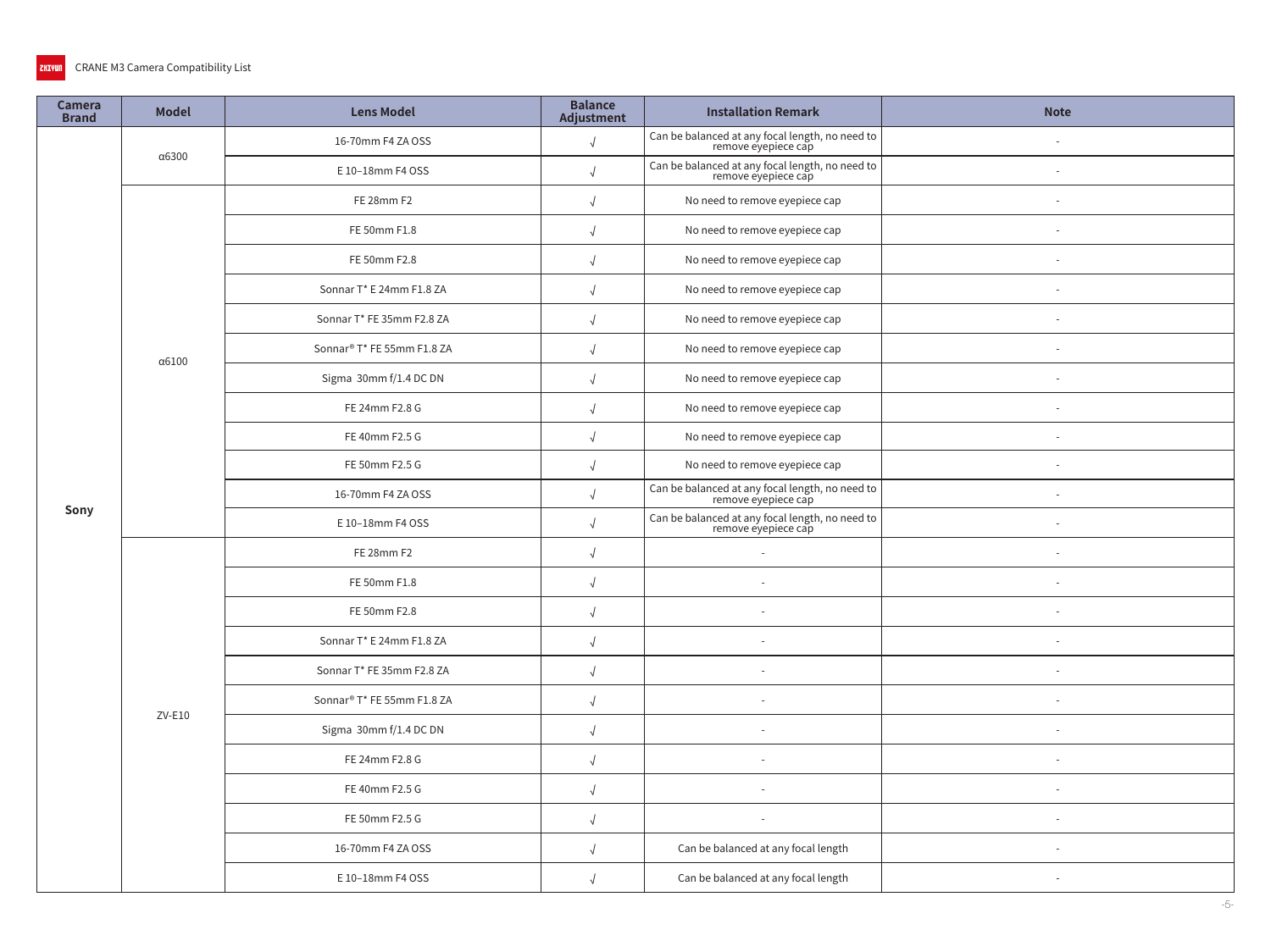| Camera<br><b>Brand</b> | <b>Model</b>  | <b>Lens Model</b>                                                                                                                                                                                                                                                                                                                                                                                                                                                                                                                                                                                                                                                                                                                                                                                                                    | <b>Balance</b><br>Adjustment                                           | <b>Installation Remark</b>                                             | <b>Note</b> |
|------------------------|---------------|--------------------------------------------------------------------------------------------------------------------------------------------------------------------------------------------------------------------------------------------------------------------------------------------------------------------------------------------------------------------------------------------------------------------------------------------------------------------------------------------------------------------------------------------------------------------------------------------------------------------------------------------------------------------------------------------------------------------------------------------------------------------------------------------------------------------------------------|------------------------------------------------------------------------|------------------------------------------------------------------------|-------------|
|                        |               | 16-70mm F4 ZA OSS                                                                                                                                                                                                                                                                                                                                                                                                                                                                                                                                                                                                                                                                                                                                                                                                                    | $\sqrt{ }$                                                             | Can be balanced at any focal length, no need to<br>remove eyepiece cap |             |
|                        | α6300         | E 10-18mm F4 OSS<br>$\sqrt{2}$<br>FE 28mm F2<br>$\sqrt{ }$<br>FE 50mm F1.8<br>FE 50mm F2.8<br>Sonnar T* E 24mm F1.8 ZA<br>$\sqrt{ }$<br>Sonnar T* FE 35mm F2.8 ZA<br>$\sqrt{ }$<br>Sonnar® T* FE 55mm F1.8 ZA<br>$\sqrt{2}$<br>Sigma 30mm f/1.4 DC DN<br>$\sqrt{ }$<br>FE 24mm F2.8 G<br>$\sqrt{ }$<br>FE 40mm F2.5 G<br>$\sqrt{2}$<br>FE 50mm F2.5 G<br>$\sqrt{ }$<br>16-70mm F4 ZA OSS<br>E 10-18mm F4 OSS<br>FE 28mm F2<br>$\sqrt{ }$<br>FE 50mm F1.8<br>$\sqrt{ }$<br>FE 50mm F2.8<br>$\sqrt{2}$<br>Sonnar T* E 24mm F1.8 ZA<br>$\sqrt{ }$<br>Sonnar T* FE 35mm F2.8 ZA<br>Sonnar® T* FE 55mm F1.8 ZA<br>$\sqrt{ }$<br>Sigma 30mm f/1.4 DC DN<br>$\sqrt{ }$<br>FE 24mm F2.8 G<br>$\sqrt{ }$<br>FE 40mm F2.5 G<br>$\sqrt{2}$<br>FE 50mm F2.5 G<br>$\sqrt{ }$<br>16-70mm F4 ZA OSS<br>$\sqrt{ }$<br>E 10-18mm F4 OSS<br>$\sqrt{ }$ | Can be balanced at any focal length, no need to<br>remove eyepiece cap | $\sim$                                                                 |             |
|                        |               |                                                                                                                                                                                                                                                                                                                                                                                                                                                                                                                                                                                                                                                                                                                                                                                                                                      |                                                                        | No need to remove eyepiece cap                                         |             |
|                        |               |                                                                                                                                                                                                                                                                                                                                                                                                                                                                                                                                                                                                                                                                                                                                                                                                                                      |                                                                        | No need to remove eyepiece cap                                         |             |
|                        |               |                                                                                                                                                                                                                                                                                                                                                                                                                                                                                                                                                                                                                                                                                                                                                                                                                                      |                                                                        | No need to remove eyepiece cap                                         |             |
|                        |               |                                                                                                                                                                                                                                                                                                                                                                                                                                                                                                                                                                                                                                                                                                                                                                                                                                      |                                                                        | No need to remove eyepiece cap                                         |             |
|                        |               |                                                                                                                                                                                                                                                                                                                                                                                                                                                                                                                                                                                                                                                                                                                                                                                                                                      |                                                                        | No need to remove eyepiece cap                                         |             |
|                        | $\alpha$ 6100 |                                                                                                                                                                                                                                                                                                                                                                                                                                                                                                                                                                                                                                                                                                                                                                                                                                      |                                                                        | No need to remove eyepiece cap                                         |             |
|                        |               |                                                                                                                                                                                                                                                                                                                                                                                                                                                                                                                                                                                                                                                                                                                                                                                                                                      |                                                                        | No need to remove eyepiece cap                                         |             |
|                        |               |                                                                                                                                                                                                                                                                                                                                                                                                                                                                                                                                                                                                                                                                                                                                                                                                                                      |                                                                        | No need to remove eyepiece cap                                         |             |
|                        |               |                                                                                                                                                                                                                                                                                                                                                                                                                                                                                                                                                                                                                                                                                                                                                                                                                                      |                                                                        | No need to remove eyepiece cap                                         | $\sim$      |
|                        |               |                                                                                                                                                                                                                                                                                                                                                                                                                                                                                                                                                                                                                                                                                                                                                                                                                                      |                                                                        | No need to remove eyepiece cap                                         | $\sim$      |
| Sony                   |               |                                                                                                                                                                                                                                                                                                                                                                                                                                                                                                                                                                                                                                                                                                                                                                                                                                      |                                                                        | Can be balanced at any focal length, no need to<br>remove eyepiece cap |             |
|                        |               |                                                                                                                                                                                                                                                                                                                                                                                                                                                                                                                                                                                                                                                                                                                                                                                                                                      |                                                                        | Can be balanced at any focal length, no need to<br>remove eyepiece cap |             |
|                        |               |                                                                                                                                                                                                                                                                                                                                                                                                                                                                                                                                                                                                                                                                                                                                                                                                                                      |                                                                        | $\sim$                                                                 |             |
|                        |               |                                                                                                                                                                                                                                                                                                                                                                                                                                                                                                                                                                                                                                                                                                                                                                                                                                      |                                                                        | $\sim$                                                                 |             |
|                        |               |                                                                                                                                                                                                                                                                                                                                                                                                                                                                                                                                                                                                                                                                                                                                                                                                                                      |                                                                        | $\sim$                                                                 |             |
|                        |               |                                                                                                                                                                                                                                                                                                                                                                                                                                                                                                                                                                                                                                                                                                                                                                                                                                      |                                                                        | $\sim$                                                                 |             |
|                        |               |                                                                                                                                                                                                                                                                                                                                                                                                                                                                                                                                                                                                                                                                                                                                                                                                                                      |                                                                        |                                                                        |             |
|                        | $ZV-E10$      |                                                                                                                                                                                                                                                                                                                                                                                                                                                                                                                                                                                                                                                                                                                                                                                                                                      |                                                                        | $\overline{\phantom{a}}$                                               |             |
|                        |               |                                                                                                                                                                                                                                                                                                                                                                                                                                                                                                                                                                                                                                                                                                                                                                                                                                      |                                                                        |                                                                        |             |
|                        |               |                                                                                                                                                                                                                                                                                                                                                                                                                                                                                                                                                                                                                                                                                                                                                                                                                                      |                                                                        | $\sim$                                                                 |             |
|                        |               |                                                                                                                                                                                                                                                                                                                                                                                                                                                                                                                                                                                                                                                                                                                                                                                                                                      |                                                                        | $\sim$                                                                 |             |
|                        |               |                                                                                                                                                                                                                                                                                                                                                                                                                                                                                                                                                                                                                                                                                                                                                                                                                                      |                                                                        | $\overline{\phantom{a}}$                                               |             |
|                        |               |                                                                                                                                                                                                                                                                                                                                                                                                                                                                                                                                                                                                                                                                                                                                                                                                                                      |                                                                        | Can be balanced at any focal length                                    | $\sim$      |
|                        |               |                                                                                                                                                                                                                                                                                                                                                                                                                                                                                                                                                                                                                                                                                                                                                                                                                                      |                                                                        | Can be balanced at any focal length                                    |             |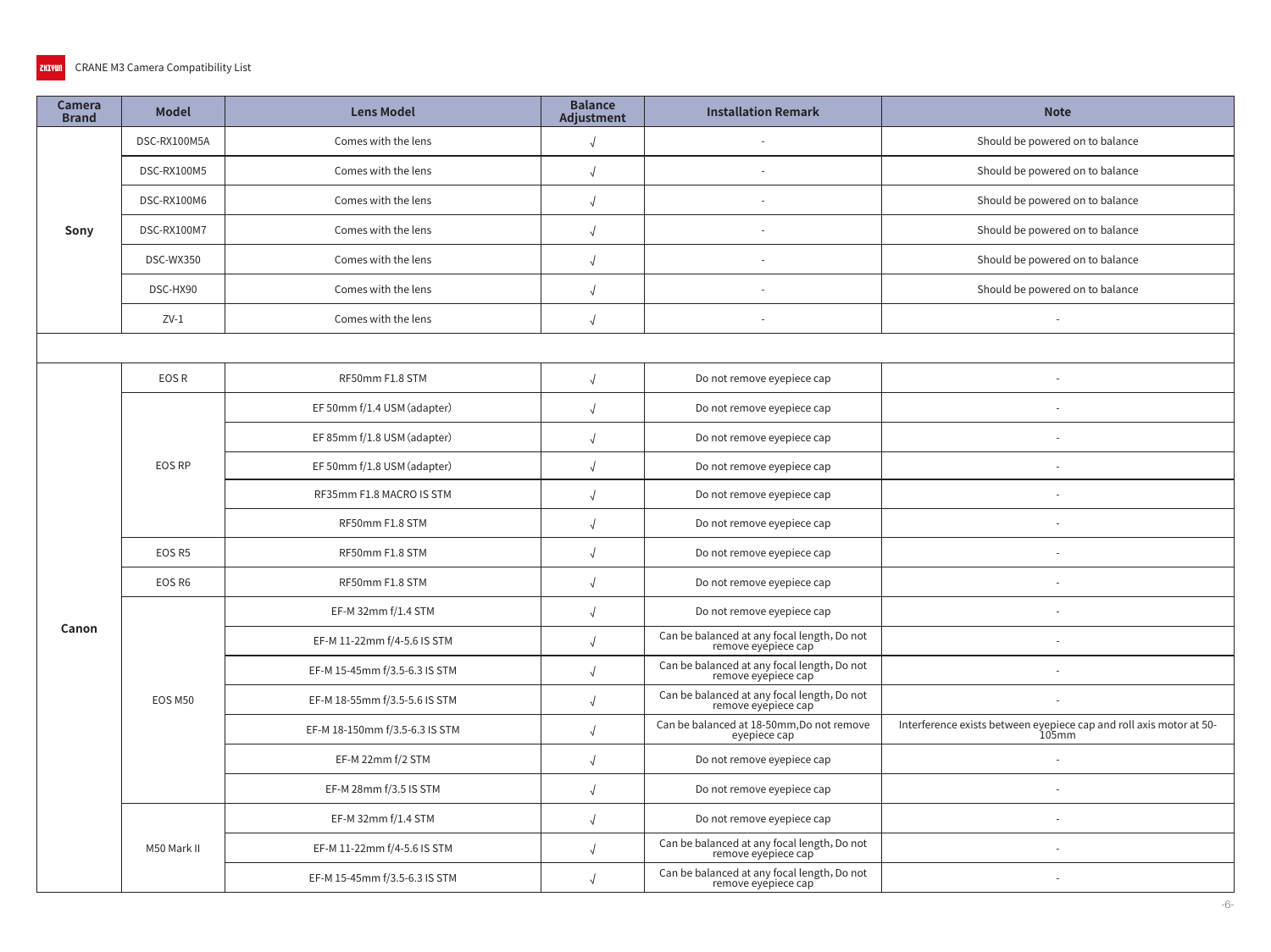| <b>Camera</b><br><b>Brand</b> | <b>Model</b>  | <b>Lens Model</b>              | <b>Balance</b><br>Adjustment | <b>Installation Remark</b>                                         | <b>Note</b>                                                                  |
|-------------------------------|---------------|--------------------------------|------------------------------|--------------------------------------------------------------------|------------------------------------------------------------------------------|
|                               | DSC-RX100M5A  | Comes with the lens            |                              |                                                                    | Should be powered on to balance                                              |
|                               | DSC-RX100M5   | Comes with the lens            |                              |                                                                    | Should be powered on to balance                                              |
|                               | DSC-RX100M6   | Comes with the lens            |                              |                                                                    | Should be powered on to balance                                              |
| Sony                          | DSC-RX100M7   | Comes with the lens            |                              |                                                                    | Should be powered on to balance                                              |
|                               | DSC-WX350     | Comes with the lens            |                              |                                                                    | Should be powered on to balance                                              |
|                               | DSC-HX90      | Comes with the lens            |                              |                                                                    | Should be powered on to balance                                              |
|                               | $ZV-1$        | Comes with the lens            | $\sqrt{ }$                   |                                                                    |                                                                              |
|                               |               |                                |                              |                                                                    |                                                                              |
|                               | EOS R         | RF50mm F1.8 STM                | $\sqrt{ }$                   | Do not remove eyepiece cap                                         |                                                                              |
|                               |               | EF 50mm f/1.4 USM (adapter)    |                              | Do not remove eyepiece cap                                         |                                                                              |
|                               | <b>EOS RP</b> | EF 85mm f/1.8 USM (adapter)    |                              | Do not remove eyepiece cap                                         |                                                                              |
|                               |               | EF 50mm f/1.8 USM (adapter)    |                              | Do not remove eyepiece cap                                         |                                                                              |
|                               |               | RF35mm F1.8 MACRO IS STM       |                              | Do not remove eyepiece cap                                         |                                                                              |
|                               |               | RF50mm F1.8 STM                |                              | Do not remove eyepiece cap                                         |                                                                              |
|                               | EOS R5        | RF50mm F1.8 STM                |                              | Do not remove eyepiece cap                                         |                                                                              |
|                               | EOS R6        | RF50mm F1.8 STM                | $\sqrt{ }$                   | Do not remove eyepiece cap                                         |                                                                              |
|                               |               | EF-M 32mm f/1.4 STM            |                              | Do not remove eyepiece cap                                         | $\sim$                                                                       |
| Canon                         |               | EF-M 11-22mm f/4-5.6 IS STM    |                              | Can be balanced at any focal length, Do not<br>remove eyepiece cap |                                                                              |
|                               |               | EF-M 15-45mm f/3.5-6.3 IS STM  |                              | Can be balanced at any focal length, Do not<br>remove eyepiece cap |                                                                              |
|                               | EOS M50       | EF-M 18-55mm f/3.5-5.6 IS STM  |                              | Can be balanced at any focal length, Do not<br>remove eyépiece cap |                                                                              |
|                               |               | EF-M 18-150mm f/3.5-6.3 IS STM | $\sqrt{ }$                   | Can be balanced at 18-50mm, Do not remove<br>eyepiece cap          | Interference exists between eyepiece cap and roll axis motor at 50-<br>105mm |
|                               |               | EF-M 22mm f/2 STM              |                              | Do not remove eyepiece cap                                         |                                                                              |
|                               |               | EF-M 28mm f/3.5 IS STM         |                              | Do not remove eyepiece cap                                         |                                                                              |
|                               |               | EF-M 32mm f/1.4 STM            |                              | Do not remove eyepiece cap                                         |                                                                              |
|                               | M50 Mark II   | EF-M 11-22mm f/4-5.6 IS STM    |                              | Can be balanced at any focal length, Do not<br>remove eyepiece cap |                                                                              |
|                               |               | EF-M 15-45mm f/3.5-6.3 IS STM  |                              | Can be balanced at any focal length, Do not<br>remove eyépiece cap |                                                                              |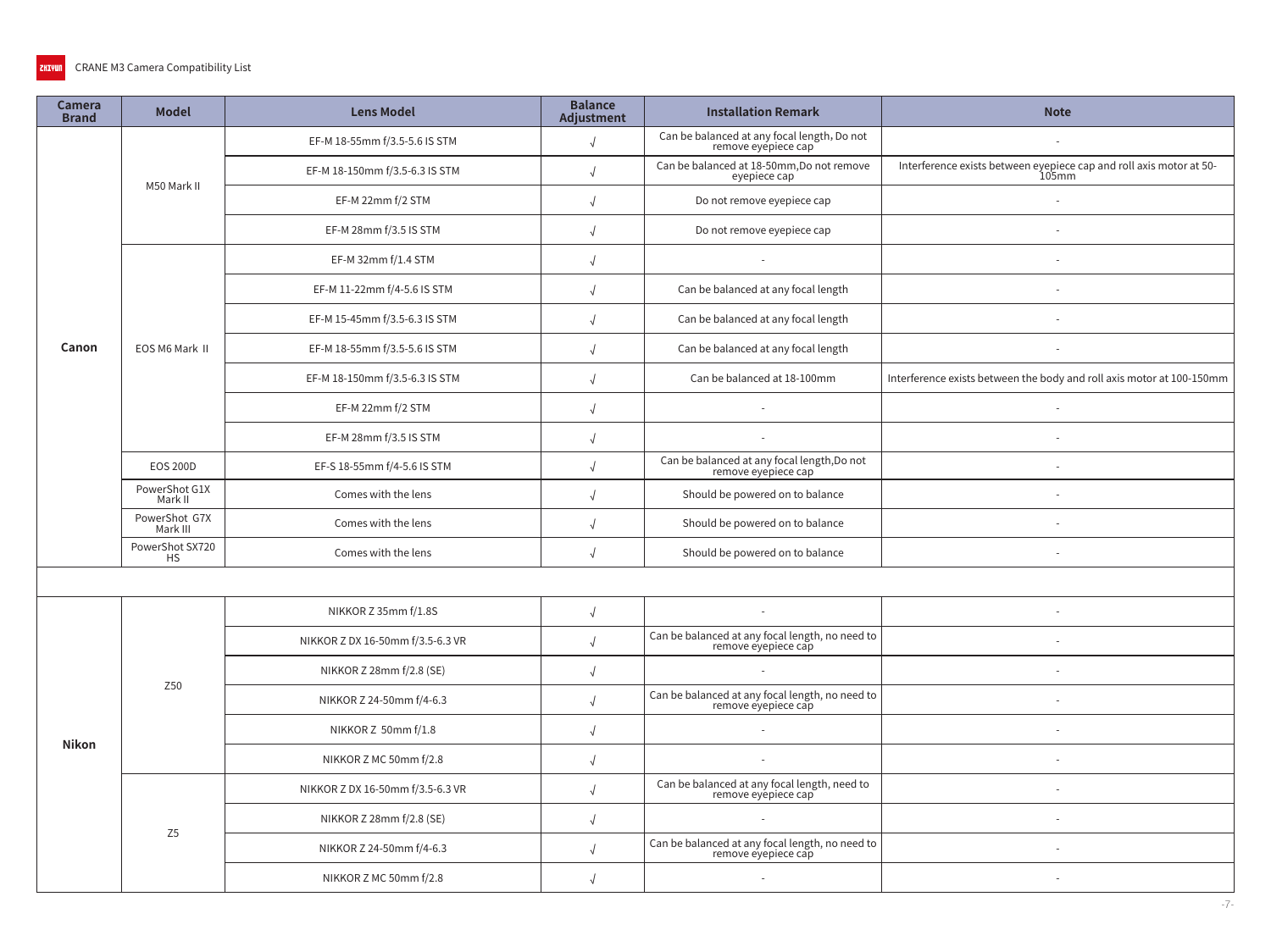| <b>Camera</b><br><b>Brand</b> | <b>Model</b>                 | <b>Lens Model</b>                | <b>Balance</b><br>Adjustment | <b>Installation Remark</b>                                             | <b>Note</b>                                                                  |
|-------------------------------|------------------------------|----------------------------------|------------------------------|------------------------------------------------------------------------|------------------------------------------------------------------------------|
|                               |                              | EF-M 18-55mm f/3.5-5.6 IS STM    | $\sqrt{ }$                   | Can be balanced at any focal length, Do not<br>remove eyepiece cap     |                                                                              |
|                               | M50 Mark II                  | EF-M 18-150mm f/3.5-6.3 IS STM   | $\sqrt{2}$                   | Can be balanced at 18-50mm, Do not remove<br>eyepiece cap              | Interference exists between eyepiece cap and roll axis motor at 50-<br>105mm |
|                               |                              | EF-M 22mm f/2 STM                |                              | Do not remove eyepiece cap                                             |                                                                              |
|                               |                              | EF-M 28mm f/3.5 IS STM           |                              | Do not remove eyepiece cap                                             |                                                                              |
|                               |                              | EF-M 32mm f/1.4 STM              | $\sqrt{2}$                   | $\sim$                                                                 |                                                                              |
|                               |                              | EF-M 11-22mm f/4-5.6 IS STM      | $\sqrt{ }$                   | Can be balanced at any focal length                                    |                                                                              |
|                               |                              | EF-M 15-45mm f/3.5-6.3 IS STM    | $\sqrt{ }$                   | Can be balanced at any focal length                                    |                                                                              |
| Canon                         | EOS M6 Mark II               | EF-M 18-55mm f/3.5-5.6 IS STM    | $\sqrt{ }$                   | Can be balanced at any focal length                                    |                                                                              |
|                               |                              | EF-M 18-150mm f/3.5-6.3 IS STM   | $\sqrt{ }$                   | Can be balanced at 18-100mm                                            | Interference exists between the body and roll axis motor at 100-150mm        |
|                               |                              | EF-M 22mm f/2 STM                | $\sqrt{ }$                   |                                                                        |                                                                              |
|                               |                              | EF-M 28mm f/3.5 IS STM           | $\sqrt{2}$                   |                                                                        |                                                                              |
|                               | <b>EOS 200D</b>              | EF-S 18-55mm f/4-5.6 IS STM      | $\sqrt{ }$                   | Can be balanced at any focal length, Do not<br>remove eyepiece cap     |                                                                              |
|                               | PowerShot G1X<br>Mark II     | Comes with the lens              |                              | Should be powered on to balance                                        |                                                                              |
|                               | PowerShot G7X<br>Mark III    | Comes with the lens              | $\sqrt{2}$                   | Should be powered on to balance                                        |                                                                              |
|                               | PowerShot SX720<br><b>HS</b> | Comes with the lens              | $\sqrt{ }$                   | Should be powered on to balance                                        |                                                                              |
|                               |                              |                                  |                              |                                                                        |                                                                              |
|                               |                              | NIKKOR Z 35mm f/1.8S             | $\sqrt{ }$                   |                                                                        |                                                                              |
|                               |                              | NIKKOR Z DX 16-50mm f/3.5-6.3 VR | $\sqrt{ }$                   | Can be balanced at any focal length, no need to<br>remove eyepiece cap |                                                                              |
|                               | Z50                          | NIKKOR Z 28mm f/2.8 (SE)         |                              |                                                                        |                                                                              |
|                               |                              | NIKKOR Z 24-50mm f/4-6.3         | $\sqrt{ }$                   | Can be balanced at any focal length, no need to<br>remove eyepiece cap |                                                                              |
| <b>Nikon</b>                  |                              | NIKKOR Z 50mm f/1.8              | $\sqrt{ }$                   | $\sim$                                                                 |                                                                              |
|                               |                              | NIKKOR Z MC 50mm f/2.8           | $\sqrt{ }$                   |                                                                        |                                                                              |
|                               |                              | NIKKOR Z DX 16-50mm f/3.5-6.3 VR | $\sqrt{2}$                   | Can be balanced at any focal length, need to<br>remove eyepiece cap    |                                                                              |
|                               | Z5                           | NIKKOR Z 28mm f/2.8 (SE)         | $\sqrt{ }$                   | $\sim$                                                                 |                                                                              |
|                               |                              | NIKKOR Z 24-50mm f/4-6.3         | $\sqrt{ }$                   | Can be balanced at any focal length, no need to<br>remove eyepiece cap |                                                                              |
|                               |                              | NIKKOR Z MC 50mm f/2.8           | $\sqrt{ }$                   |                                                                        |                                                                              |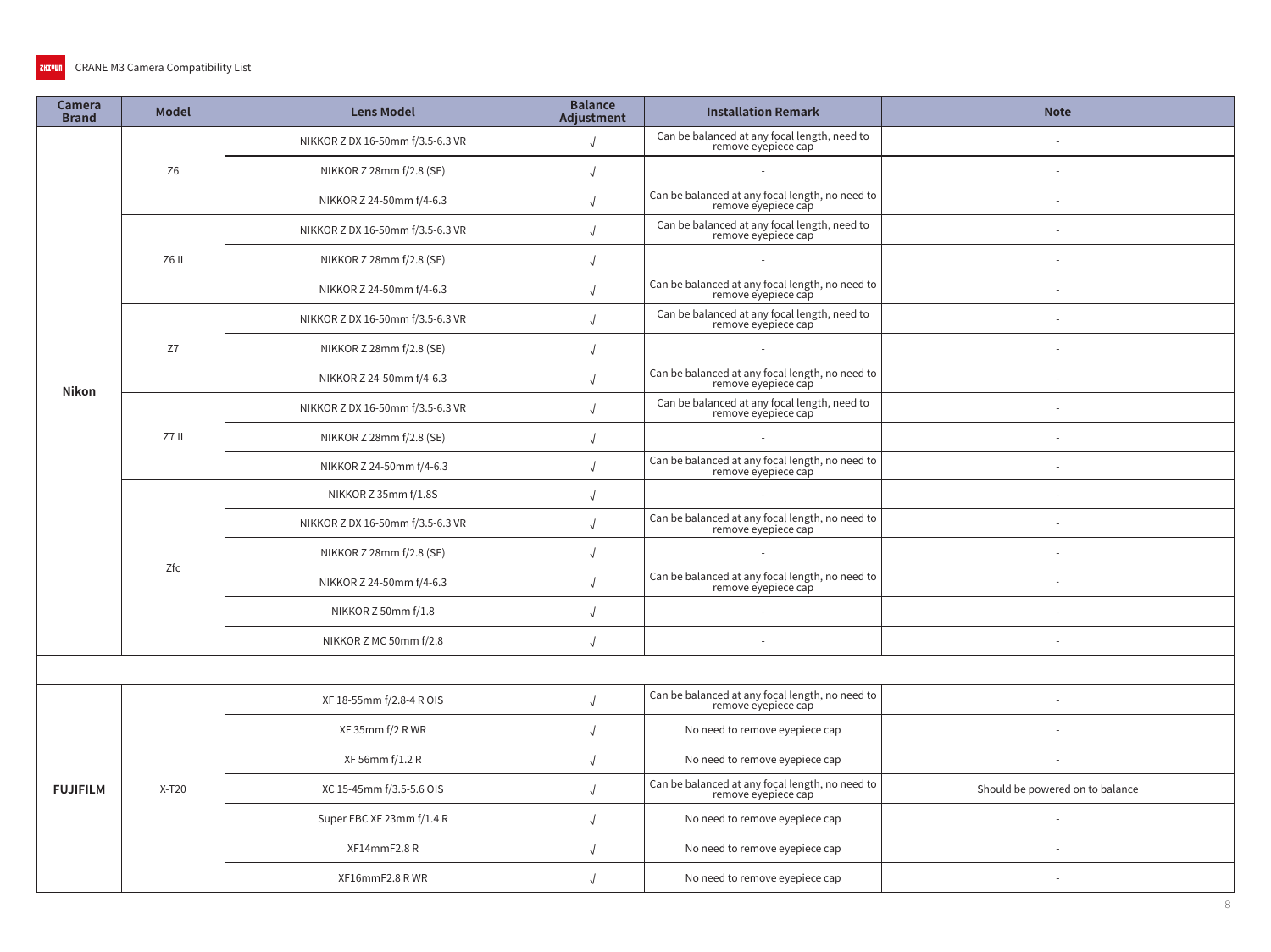| <b>Camera</b><br><b>Brand</b> | <b>Model</b>   | <b>Lens Model</b>                | <b>Balance</b><br><b>Adjustment</b> | <b>Installation Remark</b>                                             | <b>Note</b>                     |
|-------------------------------|----------------|----------------------------------|-------------------------------------|------------------------------------------------------------------------|---------------------------------|
|                               |                | NIKKOR Z DX 16-50mm f/3.5-6.3 VR | $\sqrt{ }$                          | Can be balanced at any focal length, need to<br>remove eyepiece cap    |                                 |
|                               | Z <sub>6</sub> | NIKKOR Z 28mm f/2.8 (SE)         |                                     | $\sim$                                                                 |                                 |
|                               |                | NIKKOR Z 24-50mm f/4-6.3         |                                     | Can be balanced at any focal length, no need to<br>remove eyepiece cap |                                 |
|                               |                | NIKKOR Z DX 16-50mm f/3.5-6.3 VR |                                     | Can be balanced at any focal length, need to<br>remove eyépiece cap    |                                 |
|                               | Z6 II          | NIKKOR Z 28mm f/2.8 (SE)         |                                     | $\sim$                                                                 |                                 |
|                               |                | NIKKOR Z 24-50mm f/4-6.3         |                                     | Can be balanced at any focal length, no need to<br>remove eyepiece cap |                                 |
|                               |                | NIKKOR Z DX 16-50mm f/3.5-6.3 VR |                                     | Can be balanced at any focal length, need to<br>remove eyepiece cap    |                                 |
|                               | Z7             | NIKKOR Z 28mm f/2.8 (SE)         |                                     |                                                                        |                                 |
| <b>Nikon</b>                  |                | NIKKOR Z 24-50mm f/4-6.3         |                                     | Can be balanced at any focal length, no need to<br>remove eyepiece cap |                                 |
|                               |                | NIKKOR Z DX 16-50mm f/3.5-6.3 VR |                                     | Can be balanced at any focal length, need to<br>remove eyépiece cap    |                                 |
|                               | $Z7$ II        | NIKKOR Z 28mm f/2.8 (SE)         |                                     |                                                                        |                                 |
|                               |                | NIKKOR Z 24-50mm f/4-6.3         |                                     | Can be balanced at any focal length, no need to<br>remove eyepiece cap |                                 |
|                               | Zfc            | NIKKOR Z 35mm f/1.8S             |                                     | $\sim$                                                                 |                                 |
|                               |                | NIKKOR Z DX 16-50mm f/3.5-6.3 VR |                                     | Can be balanced at any focal length, no need to<br>remove eyepiece cap |                                 |
|                               |                | NIKKOR Z 28mm f/2.8 (SE)         |                                     |                                                                        |                                 |
|                               |                | NIKKOR Z 24-50mm f/4-6.3         |                                     | Can be balanced at any focal length, no need to<br>remove eyepiece cap |                                 |
|                               |                | NIKKOR Z 50mm f/1.8              | $\sqrt{ }$                          | $\sim$                                                                 |                                 |
|                               |                | NIKKOR Z MC 50mm f/2.8           |                                     | $\sim$                                                                 | $\sim$                          |
|                               |                |                                  |                                     |                                                                        |                                 |
|                               |                | XF 18-55mm f/2.8-4 R OIS         |                                     | Can be balanced at any focal length, no need to<br>remove eyepiece cap |                                 |
|                               |                | XF 35mm f/2 R WR                 | $\sqrt{ }$                          | No need to remove eyepiece cap                                         |                                 |
|                               |                | XF 56mm f/1.2 R                  | $\sqrt{ }$                          | No need to remove eyepiece cap                                         |                                 |
| <b>FUJIFILM</b>               | $X-T20$        | XC 15-45mm f/3.5-5.6 OIS         | $\sqrt{ }$                          | Can be balanced at any focal length, no need to<br>remove eyepiece cap | Should be powered on to balance |
|                               |                | Super EBC XF 23mm f/1.4 R        | $\sqrt{ }$                          | No need to remove eyepiece cap                                         |                                 |
|                               |                | XF14mmF2.8R                      |                                     | No need to remove eyepiece cap                                         |                                 |
|                               |                | XF16mmF2.8 RWR                   | $\sqrt{ }$                          | No need to remove eyepiece cap                                         |                                 |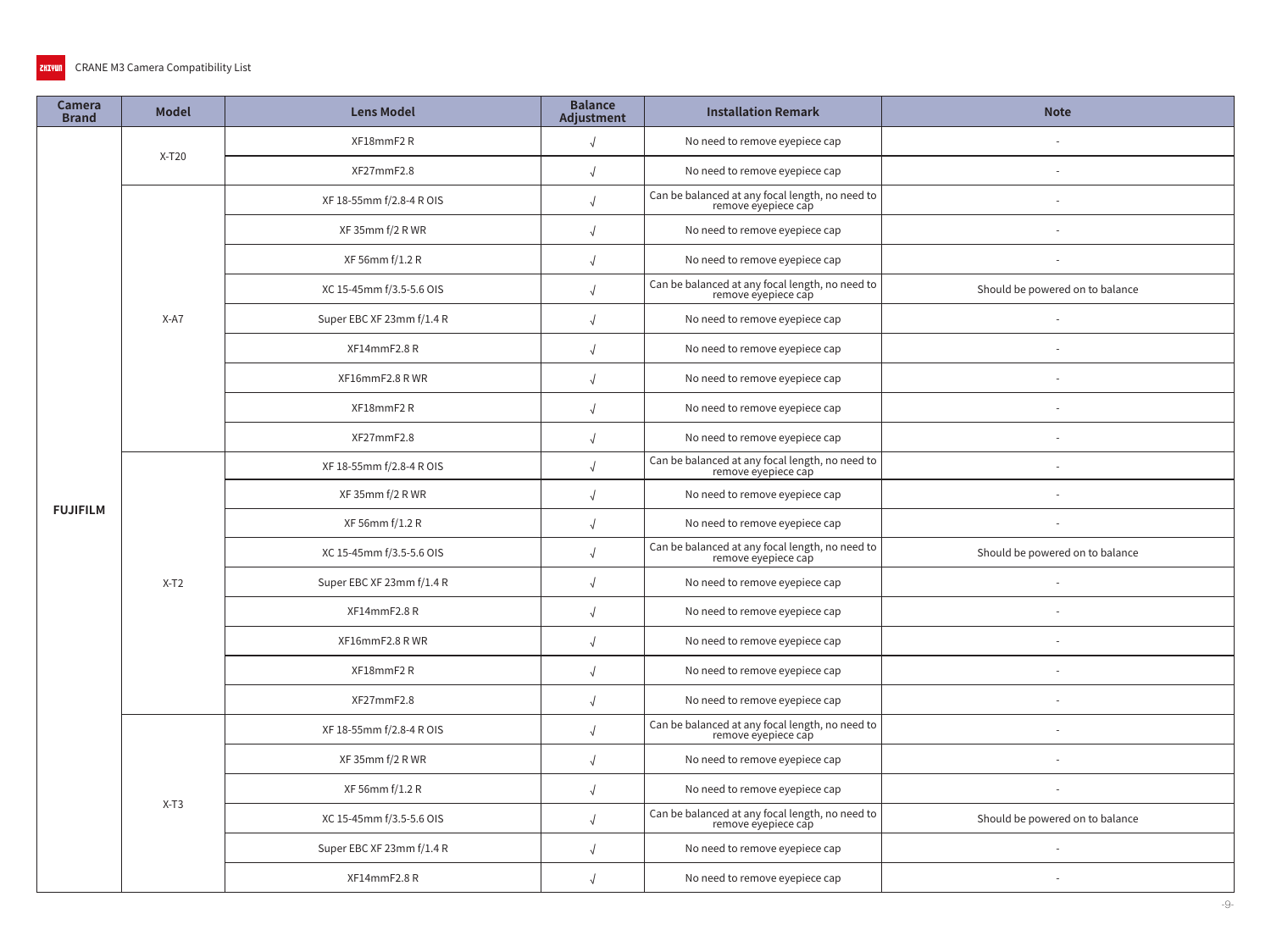| <b>Camera</b><br><b>Brand</b> | <b>Model</b> | <b>Lens Model</b>         | <b>Balance</b><br>Adjustment | <b>Installation Remark</b>                                             | <b>Note</b>                     |
|-------------------------------|--------------|---------------------------|------------------------------|------------------------------------------------------------------------|---------------------------------|
|                               | $X-T20$      | XF18mmF2R                 | $\sqrt{2}$                   | No need to remove eyepiece cap                                         |                                 |
|                               |              | XF27mmF2.8                | $\sqrt{2}$                   | No need to remove eyepiece cap                                         |                                 |
|                               |              | XF 18-55mm f/2.8-4 R OIS  |                              | Can be balanced at any focal length, no need to<br>remove eyepiece cap |                                 |
|                               |              | XF 35mm f/2 R WR          |                              | No need to remove eyepiece cap                                         |                                 |
|                               |              | XF 56mm f/1.2 R           |                              | No need to remove eyepiece cap                                         |                                 |
|                               |              | XC 15-45mm f/3.5-5.6 OIS  | $\sqrt{ }$                   | Can be balanced at any focal length, no need to<br>remove eyepiece cap | Should be powered on to balance |
|                               | $X-A7$       | Super EBC XF 23mm f/1.4 R | $\sqrt{2}$                   | No need to remove eyepiece cap                                         |                                 |
|                               |              | XF14mmF2.8R               | $\sqrt{ }$                   | No need to remove eyepiece cap                                         |                                 |
|                               |              | XF16mmF2.8 RWR            | $\sqrt{ }$                   | No need to remove eyepiece cap                                         |                                 |
|                               |              | XF18mmF2R                 | $\sqrt{ }$                   | No need to remove eyepiece cap                                         |                                 |
|                               |              | XF27mmF2.8                | $\sqrt{ }$                   | No need to remove eyepiece cap                                         |                                 |
|                               | $X-T2$       | XF 18-55mm f/2.8-4 R OIS  | $\sqrt{ }$                   | Can be balanced at any focal length, no need to<br>remove eyepiece cap |                                 |
| <b>FUJIFILM</b>               |              | XF 35mm f/2 R WR          |                              | No need to remove eyepiece cap                                         |                                 |
|                               |              | XF 56mm f/1.2 R           |                              | No need to remove eyepiece cap                                         |                                 |
|                               |              | XC 15-45mm f/3.5-5.6 OIS  | $\sqrt{ }$                   | Can be balanced at any focal length, no need to<br>remove eyepiece cap | Should be powered on to balance |
|                               |              | Super EBC XF 23mm f/1.4 R | $\sqrt{2}$                   | No need to remove eyepiece cap                                         |                                 |
|                               |              | XF14mmF2.8R               | $\sqrt{ }$                   | No need to remove eyepiece cap                                         |                                 |
|                               |              | XF16mmF2.8 RWR            | $\sqrt{ }$                   | No need to remove eyepiece cap                                         |                                 |
|                               |              | XF18mmF2R                 |                              | No need to remove eyepiece cap                                         |                                 |
|                               |              | XF27mmF2.8                | $\sqrt{ }$                   | No need to remove eyepiece cap                                         |                                 |
|                               |              | XF 18-55mm f/2.8-4 R OIS  | $\sqrt{ }$                   | Can be balanced at any focal length, no need to<br>remove eyepiece cap |                                 |
|                               |              | XF 35mm f/2 R WR          | $\sqrt{ }$                   | No need to remove eyepiece cap                                         |                                 |
|                               | $X-T3$       | XF 56mm f/1.2 R           | $\sqrt{ }$                   | No need to remove eyepiece cap                                         |                                 |
|                               |              | XC 15-45mm f/3.5-5.6 OIS  | $\sqrt{ }$                   | Can be balanced at any focal length, no need to<br>remove eyepiece cap | Should be powered on to balance |
|                               |              | Super EBC XF 23mm f/1.4 R | $\sqrt{ }$                   | No need to remove eyepiece cap                                         |                                 |
|                               |              | XF14mmF2.8R               | $\sqrt{ }$                   | No need to remove eyepiece cap                                         |                                 |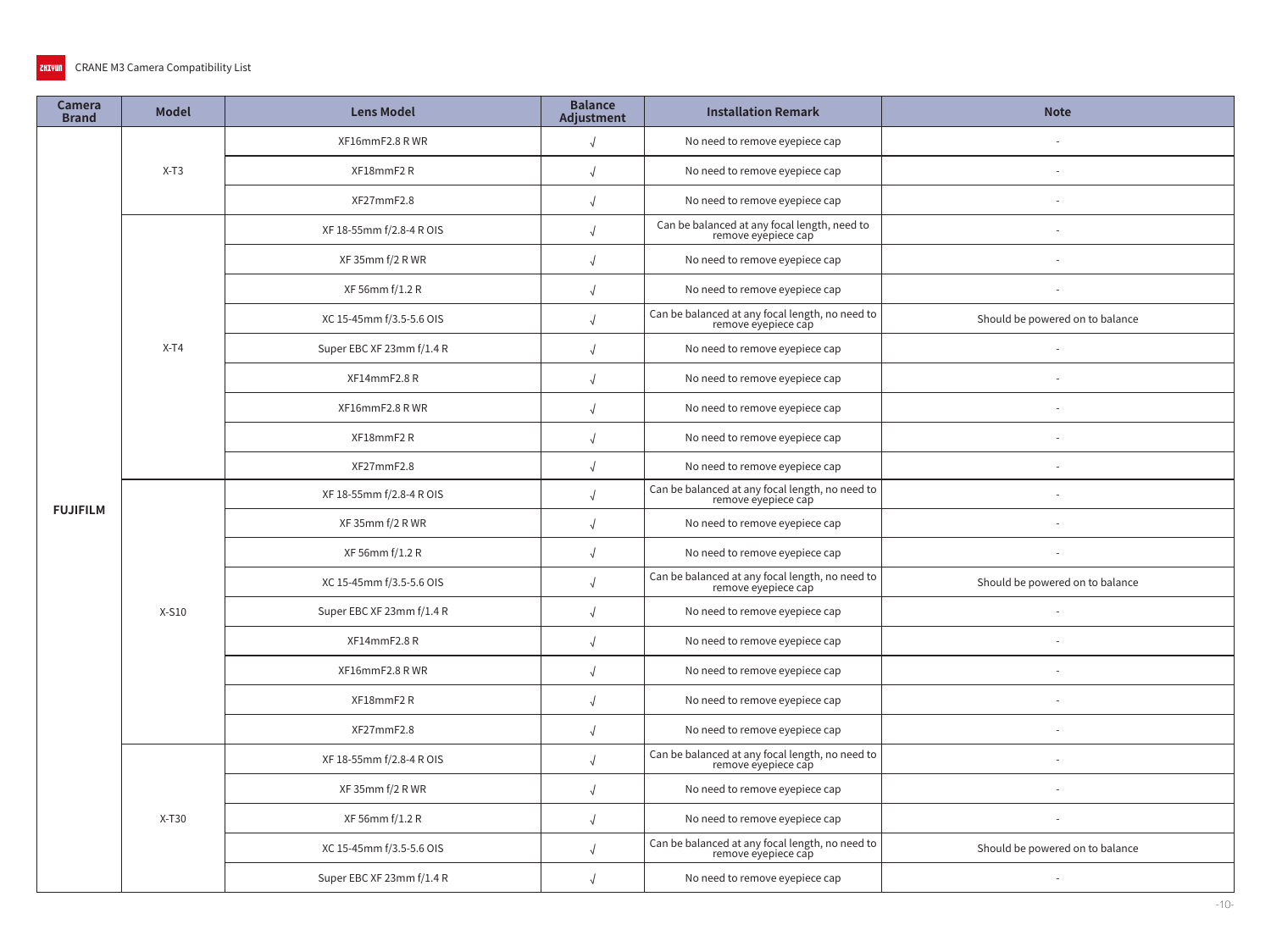| <b>Camera</b><br><b>Brand</b> | <b>Model</b> | <b>Lens Model</b>         | <b>Balance</b><br>Adjustment | <b>Installation Remark</b>                                             | <b>Note</b>                     |
|-------------------------------|--------------|---------------------------|------------------------------|------------------------------------------------------------------------|---------------------------------|
|                               |              | XF16mmF2.8 RWR            | $\sqrt{2}$                   | No need to remove eyepiece cap                                         |                                 |
|                               | $X-T3$       | XF18mmF2R                 | $\sqrt{ }$                   | No need to remove eyepiece cap                                         |                                 |
|                               |              | XF27mmF2.8                |                              | No need to remove eyepiece cap                                         |                                 |
|                               |              | XF 18-55mm f/2.8-4 R OIS  |                              | Can be balanced at any focal length, need to<br>remove eyepiece cap    |                                 |
|                               |              | XF 35mm f/2 R WR          | $\sqrt{2}$                   | No need to remove eyepiece cap                                         |                                 |
|                               |              | XF 56mm f/1.2 R           | $\sqrt{ }$                   | No need to remove eyepiece cap                                         |                                 |
|                               |              | XC 15-45mm f/3.5-5.6 OIS  | $\sqrt{2}$                   | Can be balanced at any focal length, no need to<br>remove eyepiece cap | Should be powered on to balance |
|                               | $X-T4$       | Super EBC XF 23mm f/1.4 R | $\sqrt{ }$                   | No need to remove eyepiece cap                                         |                                 |
|                               |              | XF14mmF2.8R               | $\sqrt{ }$                   | No need to remove eyepiece cap                                         |                                 |
|                               |              | XF16mmF2.8 RWR            | $\sqrt{ }$                   | No need to remove eyepiece cap                                         |                                 |
|                               |              | XF18mmF2R                 | $\sqrt{2}$                   | No need to remove eyepiece cap                                         |                                 |
|                               |              | XF27mmF2.8                | $\sqrt{ }$                   | No need to remove eyepiece cap                                         |                                 |
| <b>FUJIFILM</b>               |              | XF 18-55mm f/2.8-4 R OIS  |                              | Can be balanced at any focal length, no need to<br>remove eyepiece cap |                                 |
|                               |              | XF 35mm f/2 R WR          | $\sqrt{ }$                   | No need to remove eyepiece cap                                         |                                 |
|                               |              | XF 56mm f/1.2 R           | $\sqrt{2}$                   | No need to remove eyepiece cap                                         |                                 |
|                               |              | XC 15-45mm f/3.5-5.6 OIS  | $\sqrt{2}$                   | Can be balanced at any focal length, no need to<br>remove eyepiece cap | Should be powered on to balance |
|                               | $X-S10$      | Super EBC XF 23mm f/1.4 R | $\sqrt{ }$                   | No need to remove eyepiece cap                                         |                                 |
|                               |              | XF14mmF2.8R               | $\sqrt{ }$                   | No need to remove eyepiece cap                                         |                                 |
|                               |              | XF16mmF2.8 RWR            |                              | No need to remove eyepiece cap                                         |                                 |
|                               |              | XF18mmF2R                 | $\sqrt{2}$                   | No need to remove eyepiece cap                                         |                                 |
|                               |              | XF27mmF2.8                | $\sqrt{ }$                   | No need to remove eyepiece cap                                         |                                 |
|                               |              | XF 18-55mm f/2.8-4 R OIS  | $\sqrt{ }$                   | Can be balanced at any focal length, no need to<br>remove eyepiece cap |                                 |
|                               |              | XF 35mm f/2 R WR          | $\sqrt{2}$                   | No need to remove eyepiece cap                                         |                                 |
|                               | $X-T30$      | XF 56mm f/1.2 R           | $\sqrt{ }$                   | No need to remove eyepiece cap                                         |                                 |
|                               |              | XC 15-45mm f/3.5-5.6 OIS  | $\sqrt{ }$                   | Can be balanced at any focal length, no need to<br>remove eyepiece cap | Should be powered on to balance |
|                               |              | Super EBC XF 23mm f/1.4 R | $\sqrt{2}$                   | No need to remove eyepiece cap                                         |                                 |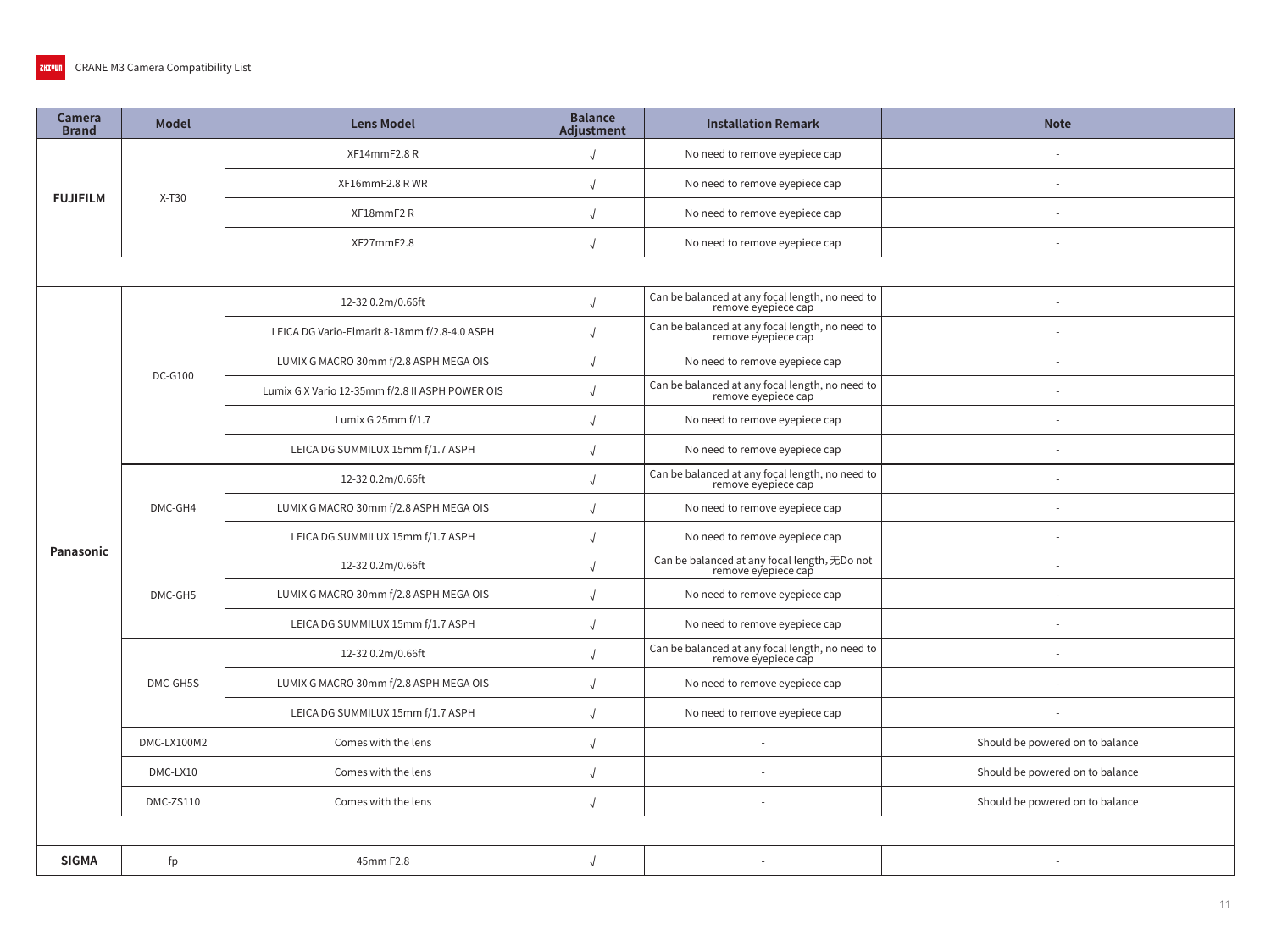| <b>Camera</b><br><b>Brand</b> | <b>Model</b> | <b>Lens Model</b>                               | <b>Balance</b><br>Adjustment | <b>Installation Remark</b>                                             | <b>Note</b>                     |  |  |  |  |
|-------------------------------|--------------|-------------------------------------------------|------------------------------|------------------------------------------------------------------------|---------------------------------|--|--|--|--|
| <b>FUJIFILM</b>               |              | XF14mmF2.8R                                     |                              | No need to remove eyepiece cap                                         |                                 |  |  |  |  |
|                               |              | XF16mmF2.8 RWR                                  |                              | No need to remove eyepiece cap                                         |                                 |  |  |  |  |
|                               | $X-T30$      | XF18mmF2R                                       |                              | No need to remove eyepiece cap                                         |                                 |  |  |  |  |
|                               |              | XF27mmF2.8                                      |                              | No need to remove eyepiece cap                                         |                                 |  |  |  |  |
|                               |              |                                                 |                              |                                                                        |                                 |  |  |  |  |
|                               |              | 12-32 0.2m/0.66ft                               |                              | Can be balanced at any focal length, no need to<br>remove eyepiece cap |                                 |  |  |  |  |
|                               |              | LEICA DG Vario-Elmarit 8-18mm f/2.8-4.0 ASPH    |                              | Can be balanced at any focal length, no need to<br>remove eyepiece cap |                                 |  |  |  |  |
|                               | $DC-G100$    | LUMIX G MACRO 30mm f/2.8 ASPH MEGA OIS          |                              | No need to remove eyepiece cap                                         |                                 |  |  |  |  |
|                               |              | Lumix G X Vario 12-35mm f/2.8 II ASPH POWER OIS |                              | Can be balanced at any focal length, no need to<br>remove eyepiece cap |                                 |  |  |  |  |
|                               |              | Lumix G 25mm f/1.7                              |                              | No need to remove eyepiece cap                                         |                                 |  |  |  |  |
|                               |              | LEICA DG SUMMILUX 15mm f/1.7 ASPH               |                              | No need to remove eyepiece cap                                         |                                 |  |  |  |  |
|                               | DMC-GH4      | 12-32 0.2m/0.66ft                               |                              | Can be balanced at any focal length, no need to<br>remove eyepiece cap |                                 |  |  |  |  |
|                               |              | LUMIX G MACRO 30mm f/2.8 ASPH MEGA OIS          |                              | No need to remove eyepiece cap                                         |                                 |  |  |  |  |
| Panasonic                     |              | LEICA DG SUMMILUX 15mm f/1.7 ASPH               |                              | No need to remove eyepiece cap                                         |                                 |  |  |  |  |
|                               |              | 12-32 0.2m/0.66ft                               |                              | Can be balanced at any focal length, 无Do not<br>remove eyepiece cap    |                                 |  |  |  |  |
|                               | DMC-GH5      | LUMIX G MACRO 30mm f/2.8 ASPH MEGA OIS          |                              | No need to remove eyepiece cap                                         |                                 |  |  |  |  |
|                               |              | LEICA DG SUMMILUX 15mm f/1.7 ASPH               |                              | No need to remove eyepiece cap                                         |                                 |  |  |  |  |
|                               |              | 12-32 0.2m/0.66ft                               |                              | Can be balanced at any focal length, no need to<br>remove eyepiece cap |                                 |  |  |  |  |
|                               | DMC-GH5S     | LUMIX G MACRO 30mm f/2.8 ASPH MEGA OIS          |                              | No need to remove eyepiece cap                                         |                                 |  |  |  |  |
|                               |              | LEICA DG SUMMILUX 15mm f/1.7 ASPH               | $\sqrt{ }$                   | No need to remove eyepiece cap                                         |                                 |  |  |  |  |
|                               | DMC-LX100M2  | Comes with the lens                             | $\sqrt{ }$                   |                                                                        | Should be powered on to balance |  |  |  |  |
|                               | DMC-LX10     | Comes with the lens                             | $\sqrt{ }$                   |                                                                        | Should be powered on to balance |  |  |  |  |
|                               | DMC-ZS110    | Comes with the lens                             |                              |                                                                        | Should be powered on to balance |  |  |  |  |
|                               |              |                                                 |                              |                                                                        |                                 |  |  |  |  |
| <b>SIGMA</b>                  | fp           | 45mm F2.8                                       |                              |                                                                        |                                 |  |  |  |  |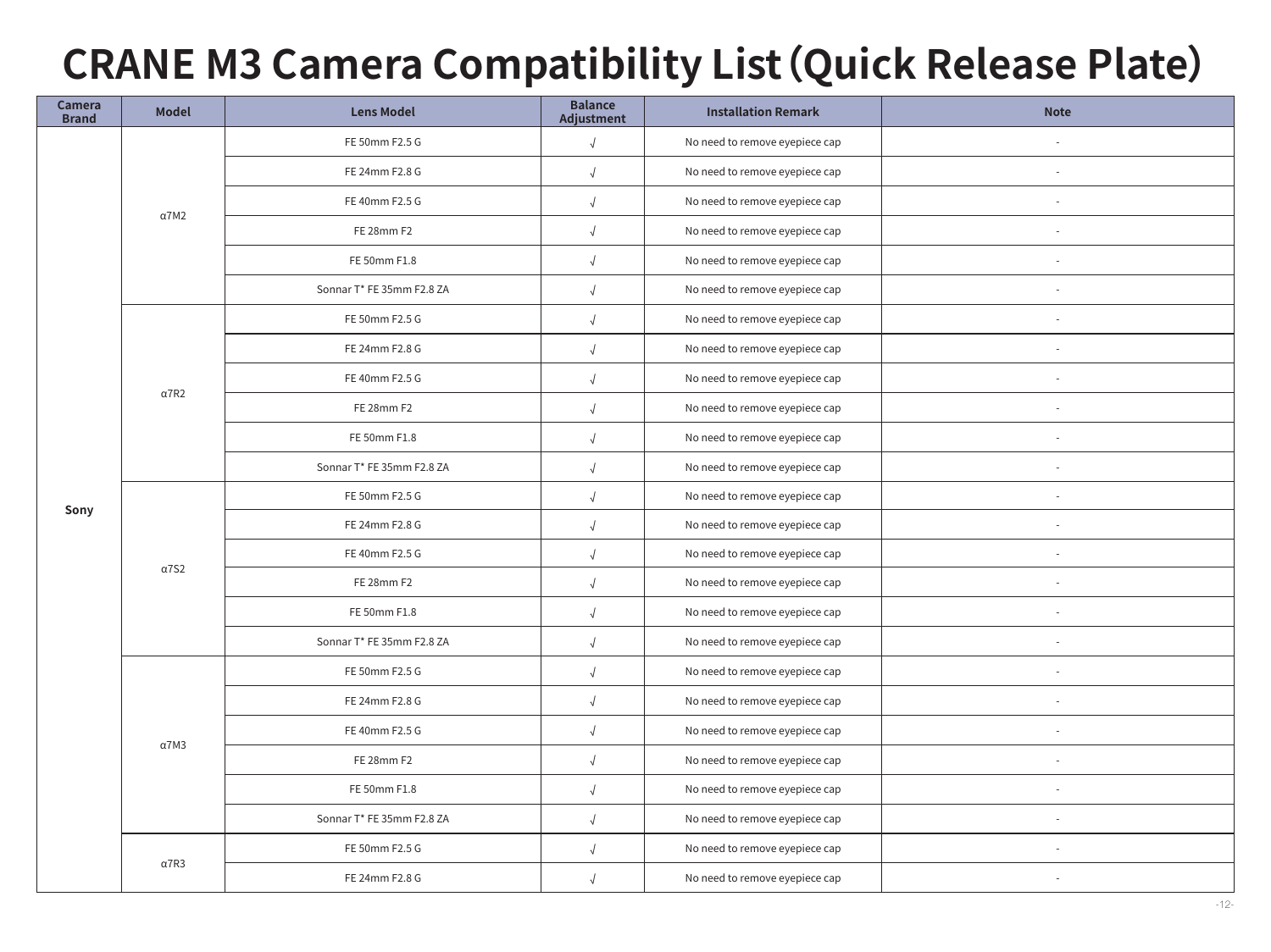# **CRANE M3 Camera Compatibility List (Quick Release Plate)**

| <b>Camera</b><br><b>Brand</b> | <b>Model</b> | <b>Lens Model</b>         | <b>Balance</b><br>Adjustment | <b>Installation Remark</b>     | <b>Note</b> |
|-------------------------------|--------------|---------------------------|------------------------------|--------------------------------|-------------|
|                               |              | FE 50mm F2.5 G            | $\sqrt{ }$                   | No need to remove eyepiece cap |             |
|                               |              | FE 24mm F2.8 G            | $\sqrt{ }$                   | No need to remove eyepiece cap | $\sim$      |
|                               | $\alpha$ 7M2 | FE 40mm F2.5 G            | $\sqrt{ }$                   | No need to remove eyepiece cap |             |
|                               |              | FE 28mm F2                |                              | No need to remove eyepiece cap |             |
|                               |              | FE 50mm F1.8              |                              | No need to remove eyepiece cap |             |
|                               |              | Sonnar T* FE 35mm F2.8 ZA | $\sqrt{ }$                   | No need to remove eyepiece cap |             |
|                               |              | FE 50mm F2.5 G            | $\sqrt{ }$                   | No need to remove eyepiece cap |             |
|                               |              | FE 24mm F2.8 G            | $\sqrt{ }$                   | No need to remove eyepiece cap | $\sim$      |
|                               | $\alpha$ 7R2 | FE 40mm F2.5 G            | $\sqrt{ }$                   | No need to remove eyepiece cap |             |
|                               |              | FE 28mm F2                | $\sqrt{ }$                   | No need to remove eyepiece cap |             |
|                               |              | FE 50mm F1.8              | $\sqrt{ }$                   | No need to remove eyepiece cap | $\sim$      |
|                               |              | Sonnar T* FE 35mm F2.8 ZA | $\sqrt{ }$                   | No need to remove eyepiece cap |             |
| Sony                          | $\alpha$ 7S2 | FE 50mm F2.5 G            | $\sqrt{ }$                   | No need to remove eyepiece cap |             |
|                               |              | FE 24mm F2.8 G            |                              | No need to remove eyepiece cap |             |
|                               |              | FE 40mm F2.5 G            |                              | No need to remove eyepiece cap |             |
|                               |              | FE 28mm F2                | $\sqrt{ }$                   | No need to remove eyepiece cap |             |
|                               |              | FE 50mm F1.8              | $\sqrt{ }$                   | No need to remove eyepiece cap | $\sim$      |
|                               |              | Sonnar T* FE 35mm F2.8 ZA | $\sqrt{2}$                   | No need to remove eyepiece cap | $\sim$      |
|                               |              | FE 50mm F2.5 G            |                              | No need to remove eyepiece cap |             |
|                               |              | FE 24mm F2.8 G            | $\sqrt{ }$                   | No need to remove eyepiece cap |             |
|                               | $\alpha$ 7M3 | FE 40mm F2.5 G            | $\sqrt{ }$                   | No need to remove eyepiece cap |             |
|                               |              | FE 28mm F2                | $\sqrt{ }$                   | No need to remove eyepiece cap | $\sim$      |
|                               |              | FE 50mm F1.8              | $\sqrt{ }$                   | No need to remove eyepiece cap |             |
|                               |              | Sonnar T* FE 35mm F2.8 ZA | $\sqrt{ }$                   | No need to remove eyepiece cap |             |
|                               | $\alpha$ 7R3 | FE 50mm F2.5 G            | $\sqrt{ }$                   | No need to remove eyepiece cap | $\sim$      |
|                               |              | FE 24mm F2.8 G            | $\sqrt{ }$                   | No need to remove eyepiece cap |             |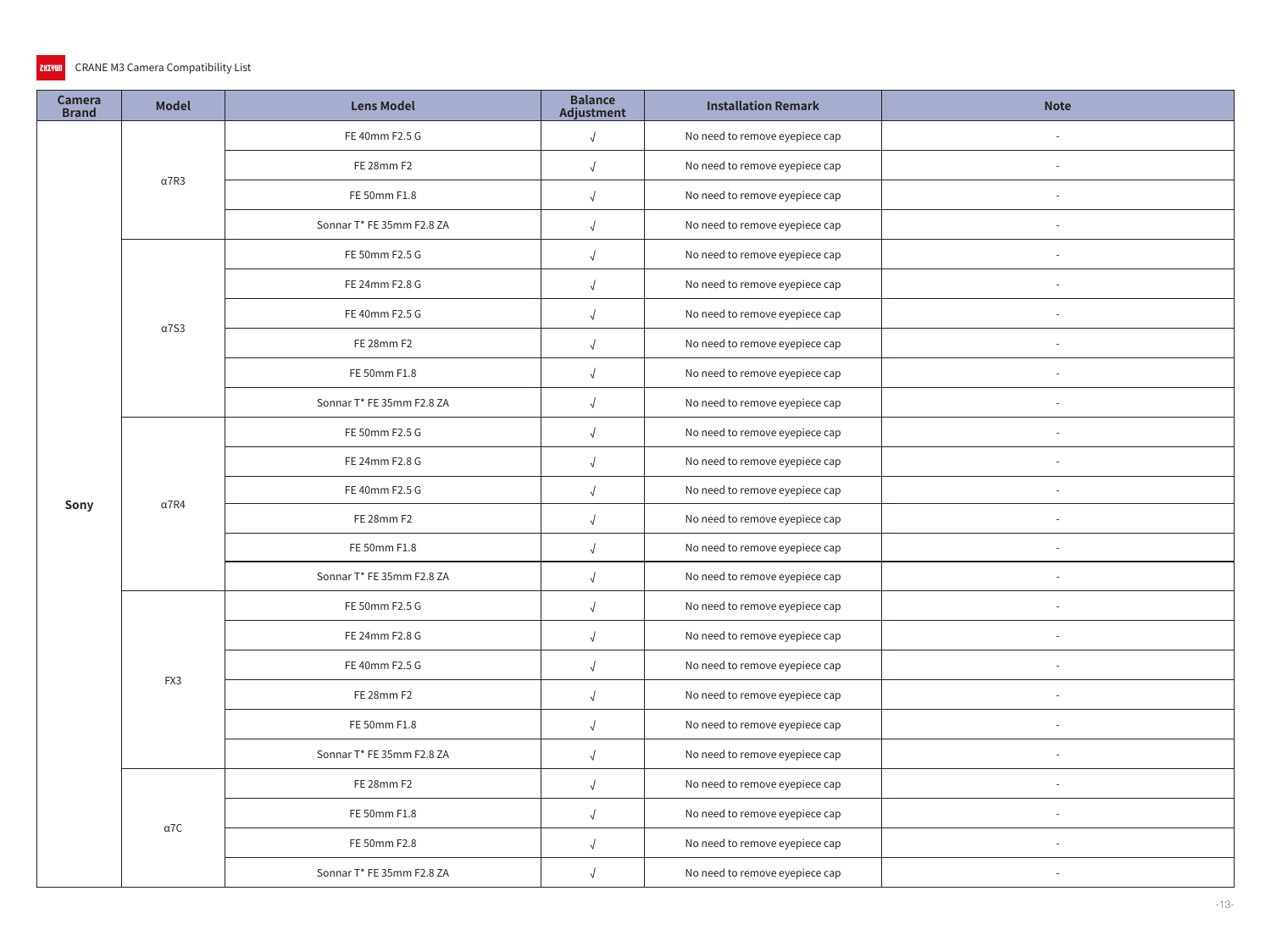#### CRANE M3 Camera Compatibility List ZHIYUN

| <b>Camera</b><br><b>Brand</b> | <b>Model</b> | <b>Lens Model</b>         | <b>Balance</b><br>Adjustment | <b>Installation Remark</b>     | <b>Note</b>                                                              |
|-------------------------------|--------------|---------------------------|------------------------------|--------------------------------|--------------------------------------------------------------------------|
|                               |              | FE 40mm F2.5 G            | $\sqrt{2}$                   | No need to remove eyepiece cap |                                                                          |
|                               | $\alpha$ 7R3 | FE 28mm F2                | $\sqrt{ }$                   | No need to remove eyepiece cap |                                                                          |
|                               |              | FE 50mm F1.8              | $\sqrt{ }$                   | No need to remove eyepiece cap |                                                                          |
|                               |              | Sonnar T* FE 35mm F2.8 ZA | $\sqrt{ }$                   | No need to remove eyepiece cap |                                                                          |
|                               |              | FE 50mm F2.5 G            | $\sqrt{ }$                   | No need to remove eyepiece cap | $\sim$                                                                   |
|                               |              | FE 24mm F2.8 G            | $\sqrt{ }$                   | No need to remove eyepiece cap | $\sim$                                                                   |
|                               | $\alpha$ 7S3 | FE 40mm F2.5 G            | $\sqrt{2}$                   | No need to remove eyepiece cap | $\sim$<br>$\overline{\phantom{a}}$<br>$\sim$<br>$\overline{\phantom{a}}$ |
|                               |              | FE 28mm F2                | $\sqrt{2}$                   | No need to remove eyepiece cap |                                                                          |
|                               |              | FE 50mm F1.8              | $\sqrt{2}$                   | No need to remove eyepiece cap |                                                                          |
|                               |              | Sonnar T* FE 35mm F2.8 ZA | $\sqrt{ }$                   | No need to remove eyepiece cap |                                                                          |
|                               |              | FE 50mm F2.5 G            | $\sqrt{ }$                   | No need to remove eyepiece cap |                                                                          |
|                               |              | FE 24mm F2.8 G            | $\sqrt{2}$                   | No need to remove eyepiece cap |                                                                          |
| Sony                          | $\alpha$ 7R4 | FE 40mm F2.5 G            | $\sqrt{2}$                   | No need to remove eyepiece cap |                                                                          |
|                               |              | FE 28mm F2                | $\sqrt{ }$                   | No need to remove eyepiece cap |                                                                          |
|                               |              | FE 50mm F1.8              | $\sqrt{ }$                   | No need to remove eyepiece cap |                                                                          |
|                               |              | Sonnar T* FE 35mm F2.8 ZA | $\sqrt{ }$                   | No need to remove eyepiece cap |                                                                          |
|                               |              | FE 50mm F2.5 G            | $\sqrt{2}$                   | No need to remove eyepiece cap |                                                                          |
|                               |              | FE 24mm F2.8 G            | $\sqrt{2}$                   | No need to remove eyepiece cap |                                                                          |
|                               | FX3          | FE 40mm F2.5 G            |                              | No need to remove eyepiece cap |                                                                          |
|                               |              | FE 28mm F2                | $\sqrt{ }$                   | No need to remove eyepiece cap |                                                                          |
|                               |              | FE 50mm F1.8              | $\sqrt{ }$                   | No need to remove eyepiece cap |                                                                          |
|                               |              | Sonnar T* FE 35mm F2.8 ZA | $\sqrt{2}$                   | No need to remove eyepiece cap |                                                                          |
|                               |              | FE 28mm F2                | $\sqrt{2}$                   | No need to remove eyepiece cap | $\sim$                                                                   |
|                               | $\alpha$ 7C  | FE 50mm F1.8              | $\sqrt{ }$                   | No need to remove eyepiece cap |                                                                          |
|                               |              | FE 50mm F2.8              | $\sqrt{ }$                   | No need to remove eyepiece cap |                                                                          |
|                               |              | Sonnar T* FE 35mm F2.8 ZA | $\sqrt{ }$                   | No need to remove eyepiece cap |                                                                          |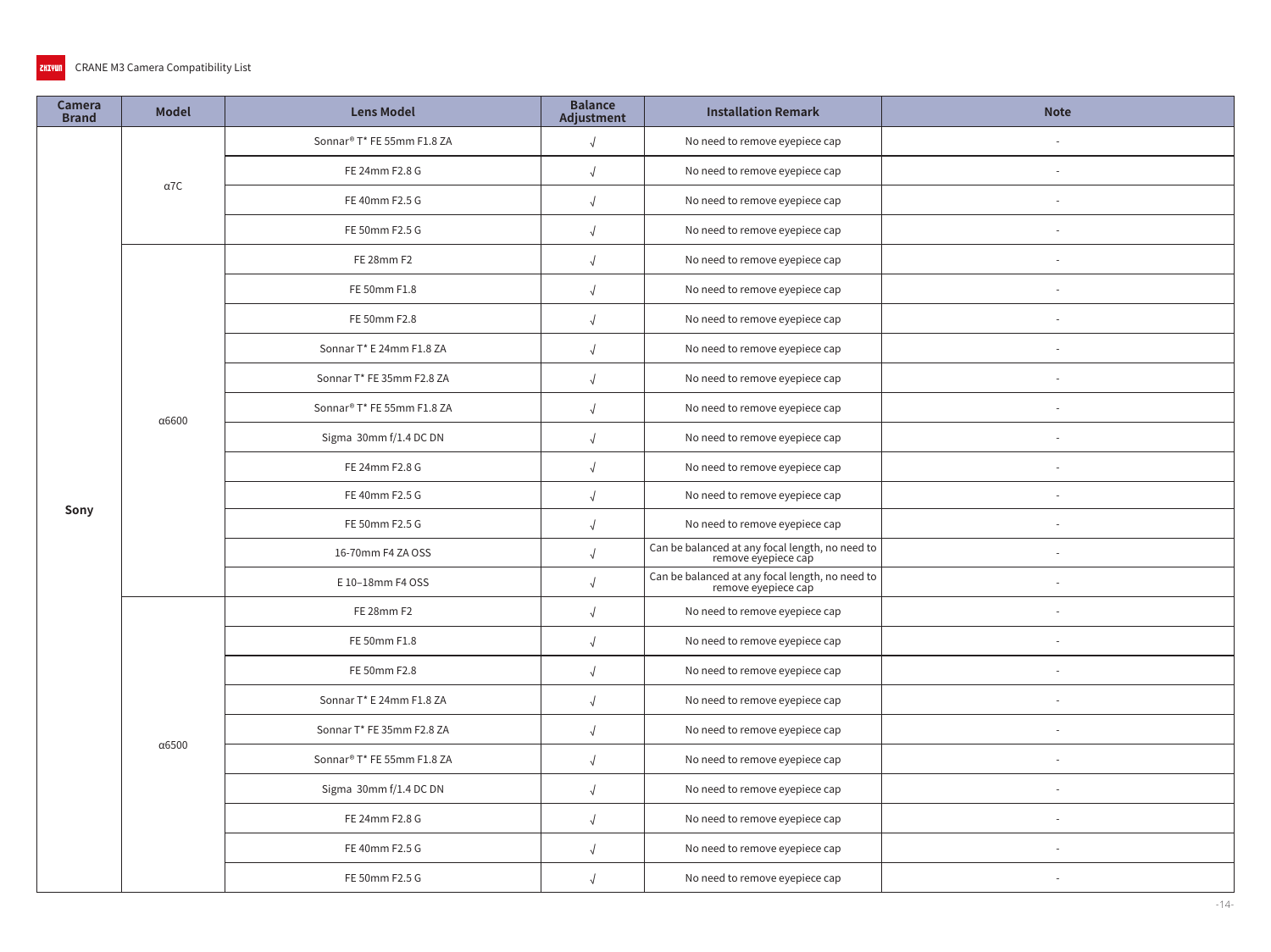| Camera<br><b>Brand</b> | <b>Model</b> | <b>Lens Model</b>                      | <b>Balance</b><br>Adjustment | <b>Installation Remark</b>                                             | <b>Note</b> |
|------------------------|--------------|----------------------------------------|------------------------------|------------------------------------------------------------------------|-------------|
|                        |              | Sonnar® T* FE 55mm F1.8 ZA             | $\sqrt{2}$                   | No need to remove eyepiece cap                                         |             |
|                        |              | FE 24mm F2.8 G                         | $\sqrt{2}$                   | No need to remove eyepiece cap                                         |             |
|                        | $\alpha$ 7C  | FE 40mm F2.5 G                         | $\sqrt{ }$                   | No need to remove eyepiece cap                                         |             |
|                        |              | FE 50mm F2.5 G                         | $\sqrt{ }$                   | No need to remove eyepiece cap                                         |             |
|                        |              | FE 28mm F2                             | $\sqrt{2}$                   | No need to remove eyepiece cap                                         |             |
|                        |              | FE 50mm F1.8                           | $\sqrt{ }$                   | No need to remove eyepiece cap                                         |             |
|                        |              | FE 50mm F2.8                           | $\sqrt{2}$                   | No need to remove eyepiece cap                                         |             |
|                        |              | Sonnar T* E 24mm F1.8 ZA               | $\sqrt{2}$                   | No need to remove eyepiece cap                                         |             |
|                        |              | Sonnar T* FE 35mm F2.8 ZA              | $\sqrt{2}$                   | No need to remove eyepiece cap                                         |             |
|                        |              | Sonnar® T* FE 55mm F1.8 ZA             | $\sqrt{ }$                   | No need to remove eyepiece cap                                         |             |
|                        | α6600        | Sigma 30mm f/1.4 DC DN                 | $\sqrt{ }$                   | No need to remove eyepiece cap                                         |             |
|                        |              | FE 24mm F2.8 G                         | $\sqrt{ }$                   | No need to remove eyepiece cap                                         |             |
| Sony                   |              | FE 40mm F2.5 G                         | $\sqrt{2}$                   | No need to remove eyepiece cap                                         |             |
|                        |              | FE 50mm F2.5 G                         | $\sqrt{ }$                   | No need to remove eyepiece cap                                         |             |
|                        |              | 16-70mm F4 ZA OSS                      |                              | Can be balanced at any focal length, no need to<br>remove eyepiece cap |             |
|                        |              | E 10-18mm F4 OSS                       | $\sqrt{2}$                   | Can be balanced at any focal length, no need to<br>remove eyepiece cap |             |
|                        |              | FE 28mm F2                             | $\sqrt{2}$                   | No need to remove eyepiece cap                                         |             |
|                        |              | FE 50mm F1.8                           | $\sqrt{2}$                   | No need to remove eyepiece cap                                         |             |
|                        |              | FE 50mm F2.8                           |                              | No need to remove eyepiece cap                                         |             |
|                        |              | Sonnar T* E 24mm F1.8 ZA               | $\sqrt{ }$                   | No need to remove eyepiece cap                                         |             |
|                        | α6500        | Sonnar T* FE 35mm F2.8 ZA              | $\sqrt{2}$                   | No need to remove eyepiece cap                                         |             |
|                        |              | Sonnar <sup>®</sup> T* FE 55mm F1.8 ZA | $\sqrt{ }$                   | No need to remove eyepiece cap                                         |             |
|                        |              | Sigma 30mm f/1.4 DC DN                 | $\sqrt{2}$                   | No need to remove eyepiece cap                                         |             |
|                        |              | FE 24mm F2.8 G                         | $\sqrt{2}$                   | No need to remove eyepiece cap                                         |             |
|                        |              | FE 40mm F2.5 G                         | $\sqrt{2}$                   | No need to remove eyepiece cap                                         |             |
|                        |              | FE 50mm F2.5 G                         | $\sqrt{ }$                   | No need to remove eyepiece cap                                         |             |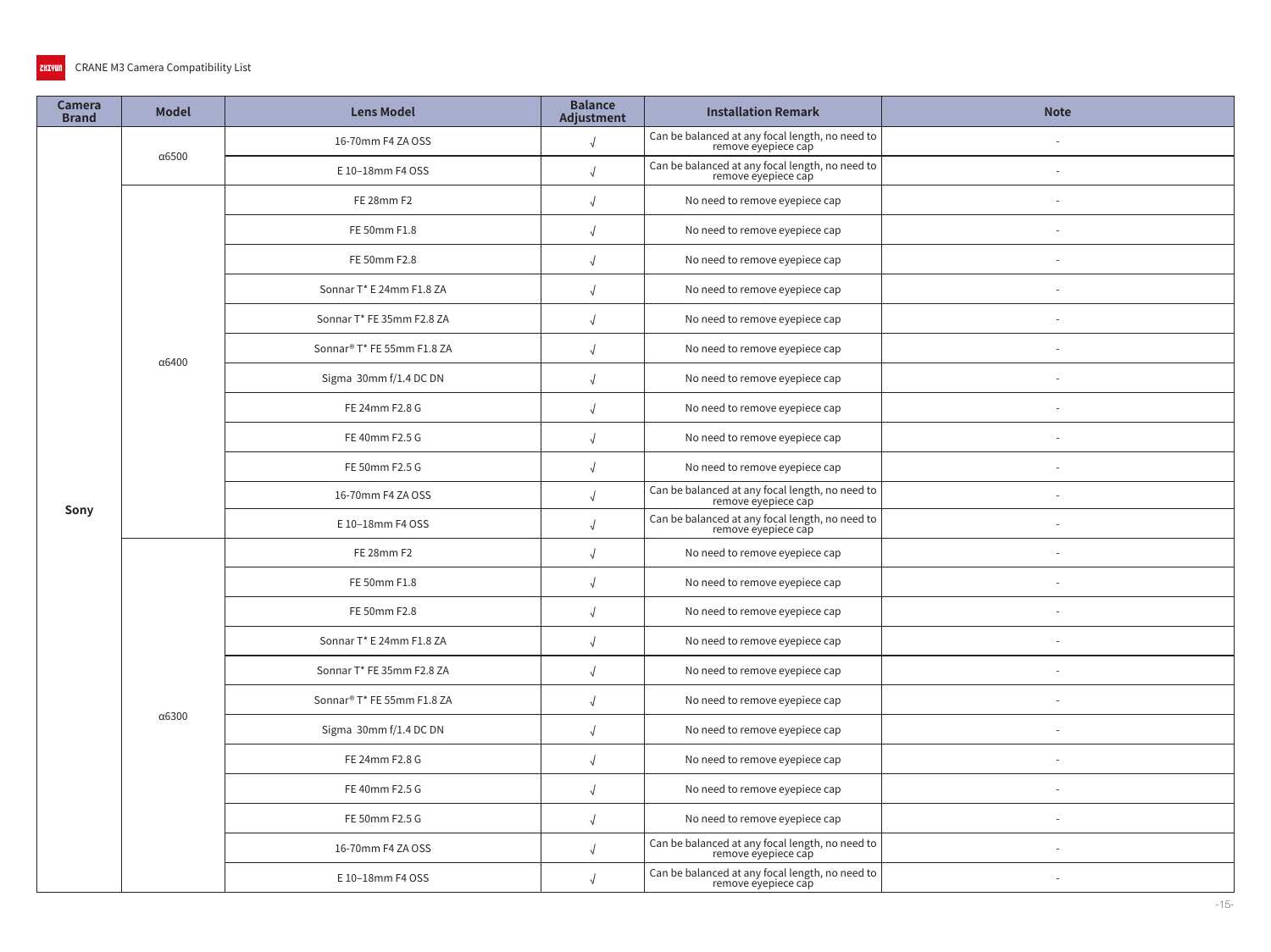| Camera<br><b>Brand</b> | <b>Model</b>  | <b>Lens Model</b>          | <b>Balance</b><br><b>Adjustment</b> | <b>Installation Remark</b>                                             | <b>Note</b> |
|------------------------|---------------|----------------------------|-------------------------------------|------------------------------------------------------------------------|-------------|
|                        |               | 16-70mm F4 ZA OSS          | $\sqrt{ }$                          | Can be balanced at any focal length, no need to<br>remove eyepiece cap |             |
|                        | $\alpha$ 6500 | E 10-18mm F4 OSS           | $\sqrt{ }$                          | Can be balanced at any focal length, no need to<br>remove eyepiece cap |             |
|                        |               | FE 28mm F2                 | $\sqrt{ }$                          | No need to remove eyepiece cap                                         |             |
|                        |               | FE 50mm F1.8               |                                     | No need to remove eyepiece cap                                         |             |
|                        |               | FE 50mm F2.8               |                                     | No need to remove eyepiece cap                                         |             |
|                        |               | Sonnar T* E 24mm F1.8 ZA   | $\sqrt{ }$                          | No need to remove eyepiece cap                                         |             |
|                        |               | Sonnar T* FE 35mm F2.8 ZA  | $\sqrt{ }$                          | No need to remove eyepiece cap                                         |             |
|                        | α6400         | Sonnar® T* FE 55mm F1.8 ZA | $\sqrt{2}$                          | No need to remove eyepiece cap                                         |             |
|                        |               | Sigma 30mm f/1.4 DC DN     | $\sqrt{ }$                          | No need to remove eyepiece cap                                         |             |
|                        |               | FE 24mm F2.8 G             | $\sqrt{2}$                          | No need to remove eyepiece cap                                         |             |
|                        |               | FE 40mm F2.5 G             | $\sqrt{ }$                          | No need to remove eyepiece cap                                         |             |
|                        |               | FE 50mm F2.5 G             | $\sqrt{ }$                          | No need to remove eyepiece cap                                         |             |
|                        |               | 16-70mm F4 ZA OSS          | $\sqrt{ }$                          | Can be balanced at any focal length, no need to<br>remove eyepiece cap |             |
| Sony                   |               | E 10-18mm F4 OSS           |                                     | Can be balanced at any focal length, no need to<br>remove eyepiece cap |             |
|                        |               | FE 28mm F2                 |                                     | No need to remove eyepiece cap                                         |             |
|                        |               | FE 50mm F1.8               | $\sqrt{ }$                          | No need to remove eyepiece cap                                         |             |
|                        |               | FE 50mm F2.8               | $\sqrt{2}$                          | No need to remove eyepiece cap                                         |             |
|                        |               | Sonnar T* E 24mm F1.8 ZA   |                                     | No need to remove eyepiece cap                                         |             |
|                        |               | Sonnar T* FE 35mm F2.8 ZA  |                                     | No need to remove eyepiece cap                                         |             |
|                        | α6300         | Sonnar® T* FE 55mm F1.8 ZA |                                     | No need to remove eyepiece cap                                         |             |
|                        |               | Sigma 30mm f/1.4 DC DN     | $\sqrt{ }$                          | No need to remove eyepiece cap                                         |             |
|                        |               | FE 24mm F2.8 G             | $\sqrt{ }$                          | No need to remove eyepiece cap                                         |             |
|                        |               | FE 40mm F2.5 G             | $\sqrt{ }$                          | No need to remove eyepiece cap                                         |             |
|                        |               | FE 50mm F2.5 G             | $\sqrt{2}$                          | No need to remove eyepiece cap                                         |             |
|                        |               | 16-70mm F4 ZA OSS          | $\sqrt{2}$                          | Can be balanced at any focal length, no need to<br>remove eyepiece cap |             |
|                        |               | E 10-18mm F4 OSS           | $\sqrt{ }$                          | Can be balanced at any focal length, no need to<br>remove eyepiece cap |             |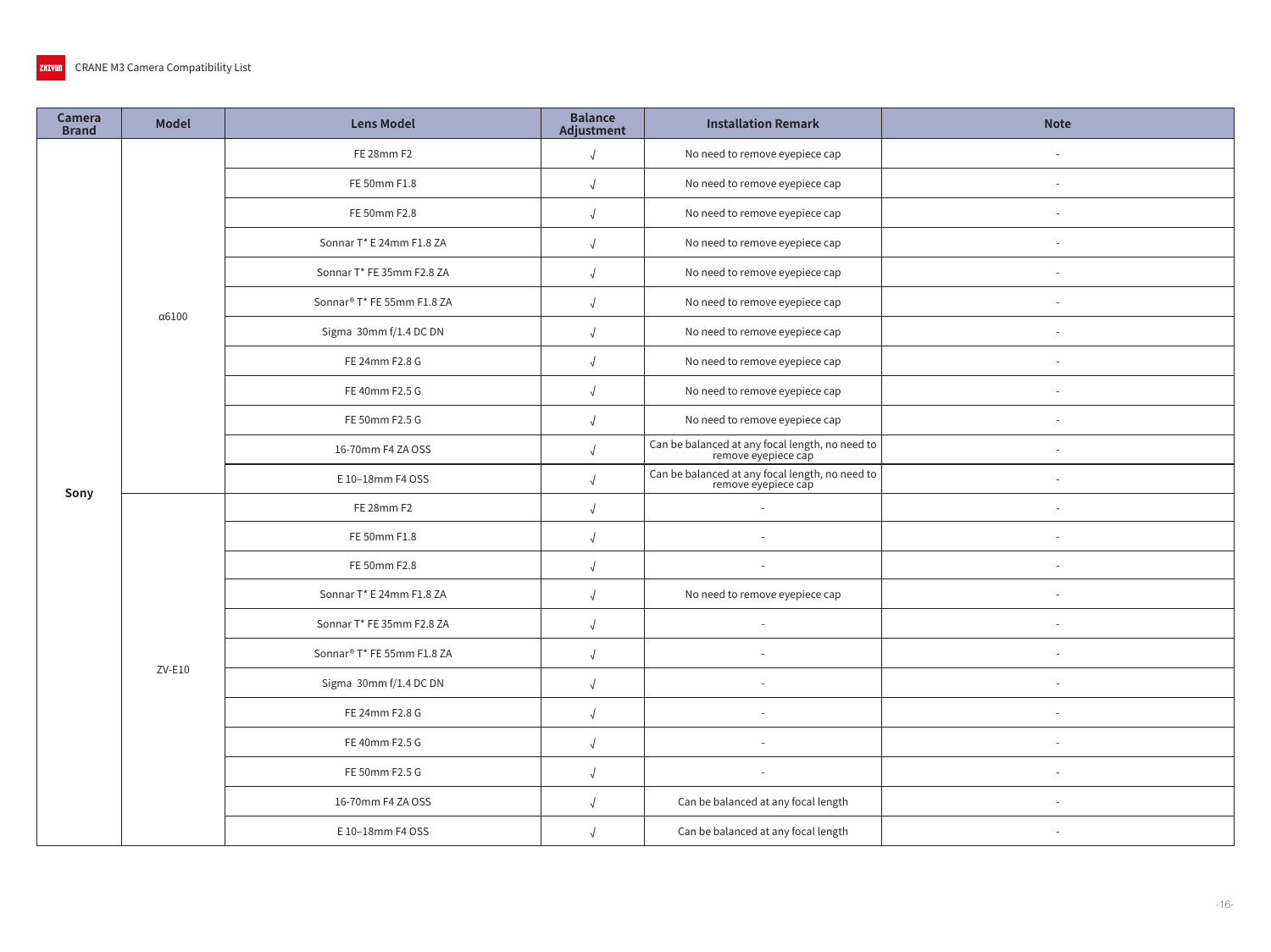| Camera<br><b>Brand</b> | <b>Model</b>  | <b>Lens Model</b>                      | <b>Balance</b><br>Adjustment | <b>Installation Remark</b>                                             | <b>Note</b> |
|------------------------|---------------|----------------------------------------|------------------------------|------------------------------------------------------------------------|-------------|
|                        |               | FE 28mm F2                             | $\sqrt{ }$                   | No need to remove eyepiece cap                                         |             |
|                        |               | FE 50mm F1.8                           | $\sqrt{2}$                   | No need to remove eyepiece cap                                         | $\sim$      |
|                        |               | FE 50mm F2.8                           |                              | No need to remove eyepiece cap                                         |             |
|                        |               | Sonnar T* E 24mm F1.8 ZA               |                              | No need to remove eyepiece cap                                         |             |
|                        |               | Sonnar T* FE 35mm F2.8 ZA              |                              | No need to remove eyepiece cap                                         | $\sim$      |
|                        | $\alpha$ 6100 | Sonnar <sup>®</sup> T* FE 55mm F1.8 ZA |                              | No need to remove eyepiece cap                                         |             |
|                        |               | Sigma 30mm f/1.4 DC DN                 | $\sqrt{ }$                   | No need to remove eyepiece cap                                         |             |
|                        |               | FE 24mm F2.8 G                         | $\sqrt{ }$                   | No need to remove eyepiece cap                                         | $\sim$      |
|                        |               | FE 40mm F2.5 G                         | $\sqrt{ }$                   | No need to remove eyepiece cap                                         | $\sim$      |
|                        |               | FE 50mm F2.5 G                         |                              | No need to remove eyepiece cap                                         | $\sim$      |
|                        |               | 16-70mm F4 ZA OSS                      |                              | Can be balanced at any focal length, no need to<br>remove eyepiece cap | ÷           |
| Sony                   |               | E 10-18mm F4 OSS                       |                              | Can be balanced at any focal length, no need to<br>remove eyepiece cap |             |
|                        |               | FE 28mm F2                             |                              | $\sim$                                                                 | $\sim$      |
|                        |               | FE 50mm F1.8                           |                              | $\sim$                                                                 |             |
|                        |               | FE 50mm F2.8                           |                              | $\sim$                                                                 |             |
|                        |               | Sonnar T* E 24mm F1.8 ZA               |                              | No need to remove eyepiece cap                                         |             |
|                        |               | Sonnar T* FE 35mm F2.8 ZA              | $\sqrt{ }$                   | $\sim$                                                                 | $\sim$      |
|                        | ZV-E10        | Sonnar® T* FE 55mm F1.8 ZA             |                              | $\overline{\phantom{a}}$                                               | $\sim$      |
|                        |               | Sigma 30mm f/1.4 DC DN                 |                              |                                                                        |             |
|                        |               | FE 24mm F2.8 G                         | $\sqrt{ }$                   | $\overline{\phantom{a}}$                                               |             |
|                        |               | FE 40mm F2.5 G                         | $\sqrt{2}$                   | $\overline{\phantom{a}}$                                               |             |
|                        |               | FE 50mm F2.5 G                         | $\sqrt{ }$                   | $\overline{\phantom{a}}$                                               | $\sim$      |
|                        |               | 16-70mm F4 ZA OSS                      | $\sqrt{ }$                   | Can be balanced at any focal length                                    |             |
|                        |               | E 10-18mm F4 OSS                       | $\sqrt{ }$                   | Can be balanced at any focal length                                    | $\sim$      |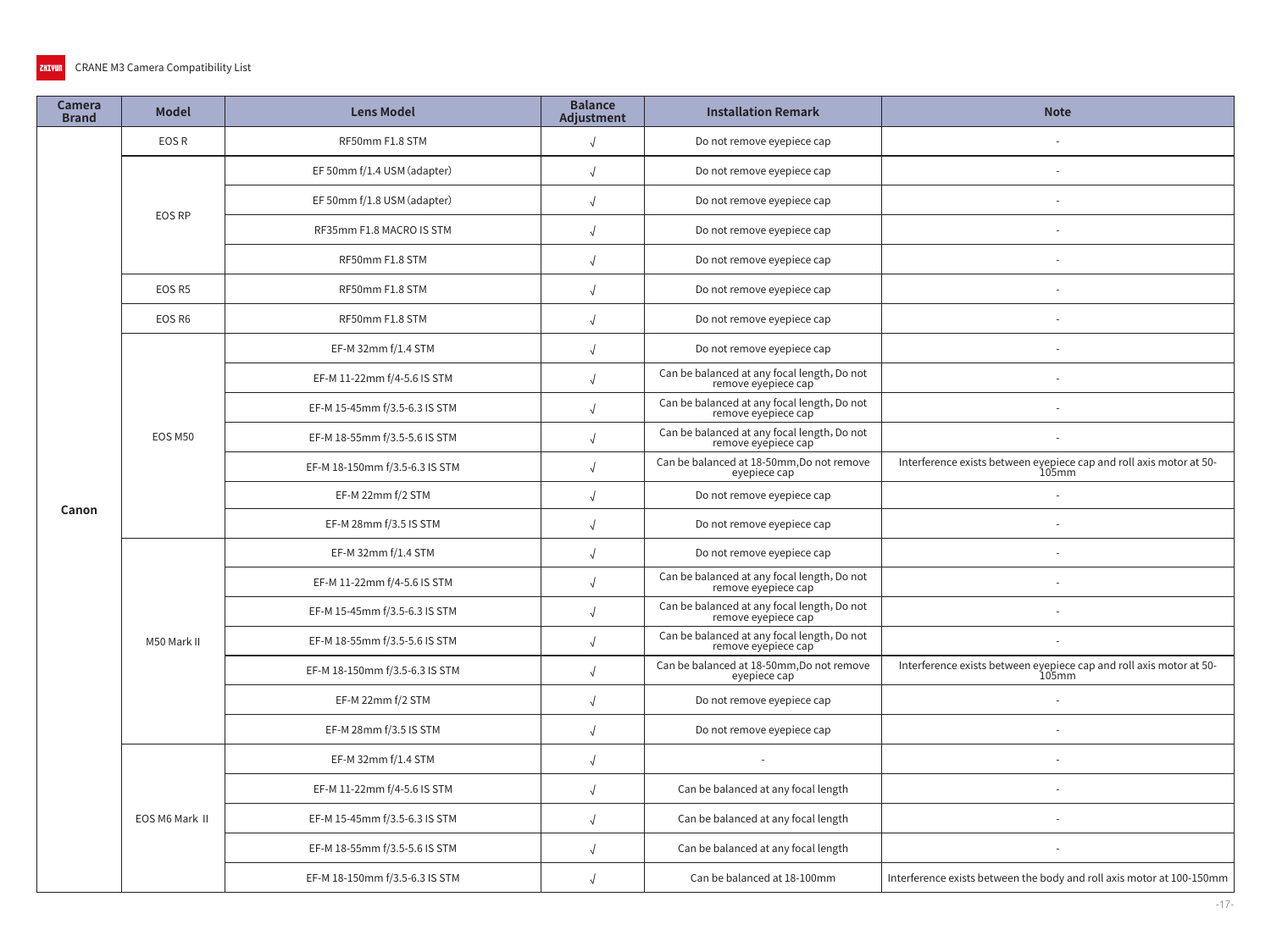| <b>Camera</b><br><b>Brand</b> | <b>Model</b>   | <b>Lens Model</b>              | <b>Balance</b><br>Adjustment | <b>Installation Remark</b>                                         | <b>Note</b>                                                                     |
|-------------------------------|----------------|--------------------------------|------------------------------|--------------------------------------------------------------------|---------------------------------------------------------------------------------|
|                               | EOS R          | RF50mm F1.8 STM                | $\sqrt{2}$                   | Do not remove eyepiece cap                                         |                                                                                 |
|                               | EOS RP         | EF 50mm f/1.4 USM (adapter)    |                              | Do not remove eyepiece cap                                         |                                                                                 |
|                               |                | EF 50mm f/1.8 USM (adapter)    |                              | Do not remove eyepiece cap                                         |                                                                                 |
|                               |                | RF35mm F1.8 MACRO IS STM       |                              | Do not remove eyepiece cap                                         |                                                                                 |
|                               |                | RF50mm F1.8 STM                |                              | Do not remove eyepiece cap                                         |                                                                                 |
|                               | EOS R5         | RF50mm F1.8 STM                |                              | Do not remove eyepiece cap                                         |                                                                                 |
|                               | EOS R6         | RF50mm F1.8 STM                | $\sqrt{ }$                   | Do not remove eyepiece cap                                         |                                                                                 |
|                               |                | EF-M 32mm f/1.4 STM            |                              | Do not remove eyepiece cap                                         |                                                                                 |
|                               |                | EF-M 11-22mm f/4-5.6 IS STM    |                              | Can be balanced at any focal length, Do not<br>remove eyepiece cap |                                                                                 |
|                               |                | EF-M 15-45mm f/3.5-6.3 IS STM  |                              | Can be balanced at any focal length, Do not<br>remove eyépiece cap |                                                                                 |
|                               | EOS M50        | EF-M 18-55mm f/3.5-5.6 IS STM  |                              | Can be balanced at any focal length, Do not<br>remove eyepiece cap |                                                                                 |
|                               |                | EF-M 18-150mm f/3.5-6.3 IS STM |                              | Can be balanced at 18-50mm, Do not remove<br>eyepiece cap          | Interference exists between eyepiece cap and roll axis motor at 50-<br>105mm    |
| Canon                         |                | EF-M 22mm f/2 STM              |                              | Do not remove eyepiece cap                                         |                                                                                 |
|                               |                | EF-M 28mm f/3.5 IS STM         |                              | Do not remove eyepiece cap                                         |                                                                                 |
|                               |                | EF-M 32mm f/1.4 STM            |                              | Do not remove eyepiece cap                                         |                                                                                 |
|                               |                | EF-M 11-22mm f/4-5.6 IS STM    |                              | Can be balanced at any focal length, Do not<br>remove eyepiece cap |                                                                                 |
|                               |                | EF-M 15-45mm f/3.5-6.3 IS STM  |                              | Can be balanced at any focal length, Do not<br>remove eyépiece cap |                                                                                 |
|                               | M50 Mark II    | EF-M 18-55mm f/3.5-5.6 IS STM  |                              | Can be balanced at any focal length, Do not<br>remove eyépiece cap |                                                                                 |
|                               |                | EF-M 18-150mm f/3.5-6.3 IS STM |                              | Can be balanced at 18-50mm, Do not remove<br>eyepiece cap          | Interference exists between eyepiece cap and roll axis motor at 50-<br>$105$ mm |
|                               |                | EF-M 22mm f/2 STM              | $\sqrt{2}$                   | Do not remove eyepiece cap                                         |                                                                                 |
|                               |                | EF-M 28mm f/3.5 IS STM         | $\sqrt{ }$                   | Do not remove eyepiece cap                                         |                                                                                 |
|                               |                | EF-M 32mm f/1.4 STM            | $\sqrt{ }$                   |                                                                    |                                                                                 |
|                               |                | EF-M 11-22mm f/4-5.6 IS STM    | $\sqrt{ }$                   | Can be balanced at any focal length                                |                                                                                 |
|                               | EOS M6 Mark II | EF-M 15-45mm f/3.5-6.3 IS STM  | $\sqrt{}$                    | Can be balanced at any focal length                                |                                                                                 |
|                               |                | EF-M 18-55mm f/3.5-5.6 IS STM  | $\sqrt{2}$                   | Can be balanced at any focal length                                |                                                                                 |
|                               |                | EF-M 18-150mm f/3.5-6.3 IS STM | $\sqrt{2}$                   | Can be balanced at 18-100mm                                        | Interference exists between the body and roll axis motor at 100-150mm           |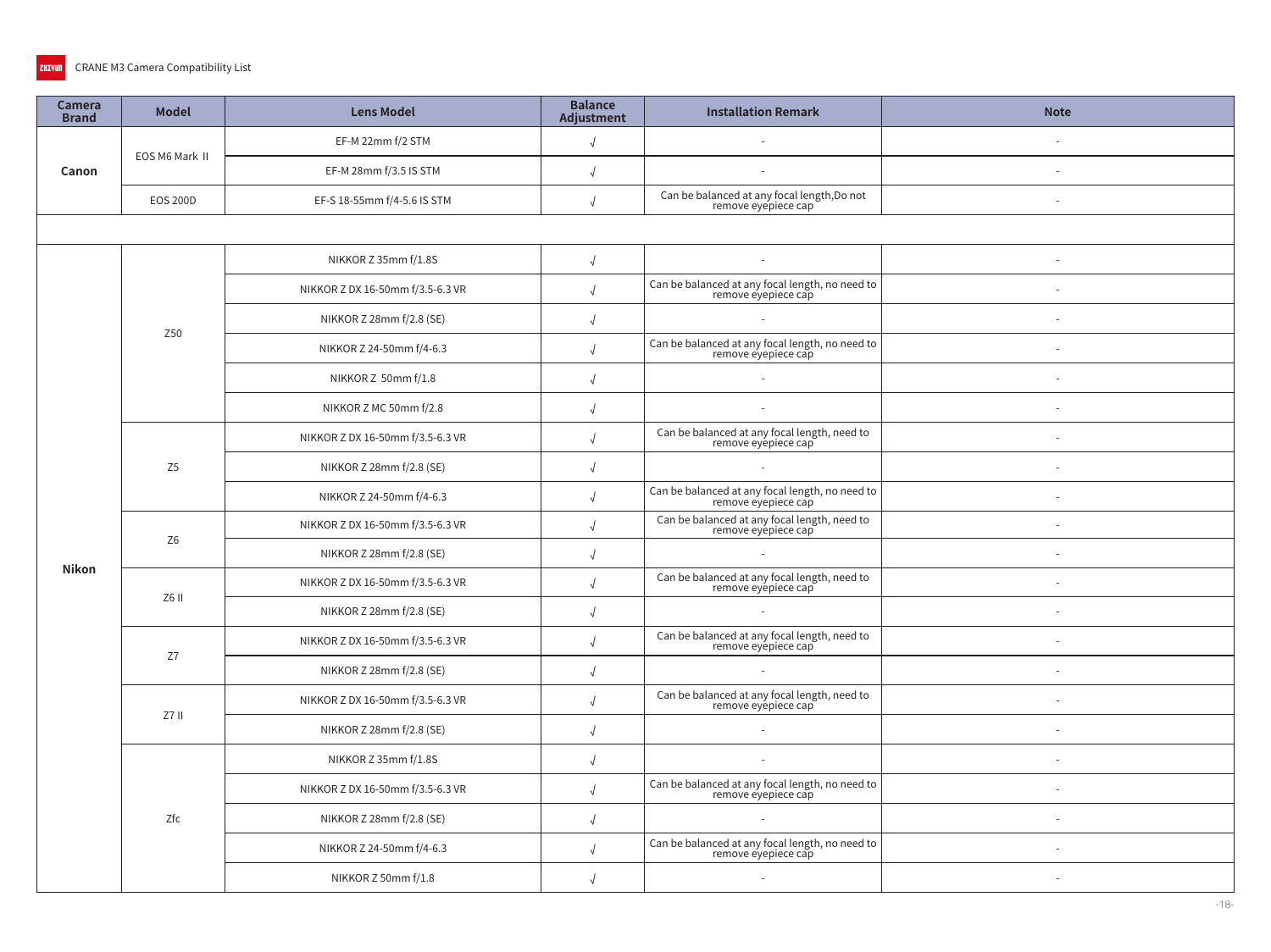| Camera<br><b>Brand</b> | <b>Model</b>    | <b>Lens Model</b>                | <b>Balance</b><br>Adjustment | <b>Installation Remark</b>                                             | <b>Note</b> |  |  |  |  |
|------------------------|-----------------|----------------------------------|------------------------------|------------------------------------------------------------------------|-------------|--|--|--|--|
|                        | EOS M6 Mark II  | EF-M 22mm f/2 STM                | $\sqrt{2}$                   |                                                                        |             |  |  |  |  |
| Canon                  |                 | EF-M 28mm f/3.5 IS STM           |                              | $\sim$                                                                 |             |  |  |  |  |
|                        | <b>EOS 200D</b> | EF-S 18-55mm f/4-5.6 IS STM      |                              | Can be balanced at any focal length, Do not<br>remove eyepiece cap     |             |  |  |  |  |
|                        |                 |                                  |                              |                                                                        |             |  |  |  |  |
|                        |                 | NIKKOR Z 35mm f/1.8S             | $\sqrt{ }$                   | $\sim$                                                                 | $\sim$      |  |  |  |  |
|                        |                 | NIKKOR Z DX 16-50mm f/3.5-6.3 VR | $\sqrt{2}$                   | Can be balanced at any focal length, no need to<br>remove eyepiece cap |             |  |  |  |  |
|                        | Z50             | NIKKOR Z 28mm f/2.8 (SE)         | $\sqrt{ }$                   | $\sim$                                                                 |             |  |  |  |  |
|                        |                 | NIKKOR Z 24-50mm f/4-6.3         | $\sqrt{2}$                   | Can be balanced at any focal length, no need to<br>remove eyepiece cap | $\sim$      |  |  |  |  |
|                        |                 | NIKKOR Z 50mm f/1.8              | $\sqrt{ }$                   | $\sim$                                                                 |             |  |  |  |  |
|                        |                 | NIKKOR Z MC 50mm f/2.8           | $\sqrt{2}$                   | $\sim$                                                                 |             |  |  |  |  |
|                        |                 | NIKKOR Z DX 16-50mm f/3.5-6.3 VR |                              | Can be balanced at any focal length, need to<br>remove eyepiece cap    |             |  |  |  |  |
|                        | Z <sub>5</sub>  | NIKKOR Z 28mm f/2.8 (SE)         | $\sqrt{ }$                   | $\sim$                                                                 |             |  |  |  |  |
|                        |                 | NIKKOR Z 24-50mm f/4-6.3         |                              | Can be balanced at any focal length, no need to<br>remove eyepiece cap |             |  |  |  |  |
|                        | Z <sub>6</sub>  | NIKKOR Z DX 16-50mm f/3.5-6.3 VR |                              | Can be balanced at any focal length, need to<br>remove eyépiece cap    |             |  |  |  |  |
| <b>Nikon</b>           |                 | NIKKOR Z 28mm f/2.8 (SE)         | $\sqrt{2}$                   | $\sim$                                                                 |             |  |  |  |  |
|                        | Z6 II           | NIKKOR Z DX 16-50mm f/3.5-6.3 VR | $\sqrt{ }$                   | Can be balanced at any focal length, need to<br>remove eyepiece cap    |             |  |  |  |  |
|                        |                 | NIKKOR Z 28mm f/2.8 (SE)         | $\sqrt{ }$                   | $\sim$                                                                 |             |  |  |  |  |
|                        | Z7              | NIKKOR Z DX 16-50mm f/3.5-6.3 VR | $\sqrt{ }$                   | Can be balanced at any focal length, need to<br>remove eyépiece cap    |             |  |  |  |  |
|                        |                 | NIKKOR Z 28mm f/2.8 (SE)         |                              | $\sim$                                                                 | $\sim$      |  |  |  |  |
|                        | Z7 II           | NIKKOR Z DX 16-50mm f/3.5-6.3 VR | $\sqrt{2}$                   | Can be balanced at any focal length, need to<br>remove eyepiece cap    |             |  |  |  |  |
|                        |                 | NIKKOR Z 28mm f/2.8 (SE)         | $\sqrt{2}$                   | $\overline{\phantom{a}}$                                               |             |  |  |  |  |
|                        |                 | NIKKOR Z 35mm f/1.8S             | $\sqrt{ }$                   |                                                                        |             |  |  |  |  |
|                        |                 | NIKKOR Z DX 16-50mm f/3.5-6.3 VR |                              | Can be balanced at any focal length, no need to<br>remove eyepiece cap |             |  |  |  |  |
|                        | Zfc             | NIKKOR Z 28mm f/2.8 (SE)         | $\sqrt{2}$                   | $\sim$                                                                 |             |  |  |  |  |
|                        |                 | NIKKOR Z 24-50mm f/4-6.3         | $\sqrt{2}$                   | Can be balanced at any focal length, no need to<br>remove eyepiece cap |             |  |  |  |  |
|                        |                 | NIKKOR Z 50mm f/1.8              | $\sqrt{ }$                   |                                                                        |             |  |  |  |  |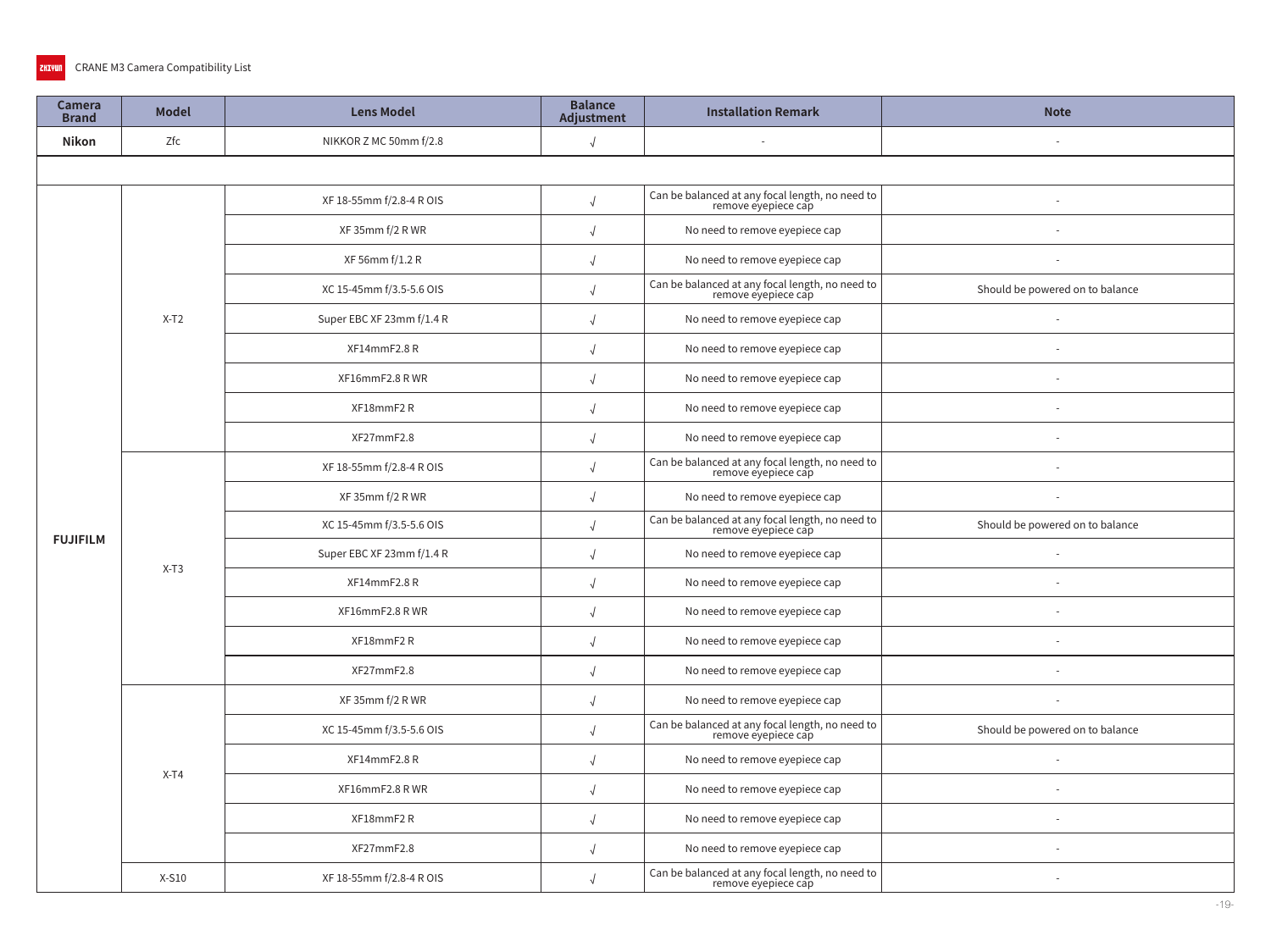| Camera<br><b>Brand</b> | <b>Model</b> | <b>Lens Model</b>                           | <b>Balance</b><br><b>Adjustment</b>                                                                       | <b>Installation Remark</b>                                             | <b>Note</b>                     |  |  |  |
|------------------------|--------------|---------------------------------------------|-----------------------------------------------------------------------------------------------------------|------------------------------------------------------------------------|---------------------------------|--|--|--|
| <b>Nikon</b>           | Zfc          | NIKKOR Z MC 50mm f/2.8                      | $\sqrt{ }$                                                                                                |                                                                        |                                 |  |  |  |
|                        |              |                                             |                                                                                                           |                                                                        |                                 |  |  |  |
|                        |              | XF 18-55mm f/2.8-4 R OIS                    |                                                                                                           | Can be balanced at any focal length, no need to<br>remove eyepiece cap |                                 |  |  |  |
|                        |              | XF 35mm f/2 R WR                            |                                                                                                           | No need to remove eyepiece cap                                         |                                 |  |  |  |
|                        |              | XF 56mm f/1.2 R                             |                                                                                                           | No need to remove eyepiece cap                                         |                                 |  |  |  |
|                        |              | XC 15-45mm f/3.5-5.6 OIS                    | Can be balanced at any focal length, no need to<br>remove eyepiece cap<br>Should be powered on to balance |                                                                        |                                 |  |  |  |
|                        | $X-T2$       | Super EBC XF 23mm f/1.4 R                   |                                                                                                           | No need to remove eyepiece cap                                         | Should be powered on to balance |  |  |  |
|                        |              | XF14mmF2.8R                                 | $\sqrt{ }$                                                                                                | No need to remove eyepiece cap                                         |                                 |  |  |  |
|                        |              | XF16mmF2.8 RWR                              |                                                                                                           | No need to remove eyepiece cap                                         |                                 |  |  |  |
|                        |              | XF18mmF2R<br>No need to remove eyepiece cap |                                                                                                           |                                                                        |                                 |  |  |  |
|                        |              | XF27mmF2.8                                  | $\sqrt{ }$                                                                                                | No need to remove eyepiece cap                                         |                                 |  |  |  |
|                        |              | XF 18-55mm f/2.8-4 R OIS                    |                                                                                                           | Can be balanced at any focal length, no need to<br>remove eyepiece cap |                                 |  |  |  |
|                        |              | XF 35mm f/2 R WR                            |                                                                                                           | No need to remove eyepiece cap                                         |                                 |  |  |  |
| <b>FUJIFILM</b>        |              | XC 15-45mm f/3.5-5.6 OIS                    |                                                                                                           | Can be balanced at any focal length, no need to<br>remove eyepiece cap |                                 |  |  |  |
|                        | $X-T3$       | Super EBC XF 23mm f/1.4 R                   |                                                                                                           | No need to remove eyepiece cap                                         |                                 |  |  |  |
|                        |              | XF14mmF2.8R                                 |                                                                                                           | No need to remove eyepiece cap                                         |                                 |  |  |  |
|                        |              | XF16mmF2.8 RWR                              |                                                                                                           | No need to remove eyepiece cap                                         |                                 |  |  |  |
|                        |              | XF18mmF2R                                   |                                                                                                           | No need to remove eyepiece cap                                         |                                 |  |  |  |
|                        |              | XF27mmF2.8                                  |                                                                                                           | No need to remove eyepiece cap                                         | Should be powered on to balance |  |  |  |
|                        |              | XF 35mm f/2 R WR                            |                                                                                                           | No need to remove eyepiece cap                                         |                                 |  |  |  |
|                        |              | XC 15-45mm f/3.5-5.6 OIS                    | $\sqrt{ }$                                                                                                | Can be balanced at any focal length, no need to<br>remove eyepiece cap |                                 |  |  |  |
|                        | $X-T4$       | XF14mmF2.8R                                 | $\sqrt{ }$                                                                                                | No need to remove eyepiece cap                                         |                                 |  |  |  |
|                        |              | XF16mmF2.8 RWR                              | $\sqrt{ }$                                                                                                | No need to remove eyepiece cap                                         |                                 |  |  |  |
|                        |              | XF18mmF2R                                   | $\sqrt{ }$                                                                                                | No need to remove eyepiece cap                                         |                                 |  |  |  |
|                        |              | XF27mmF2.8                                  | $\sqrt{ }$                                                                                                | No need to remove eyepiece cap                                         |                                 |  |  |  |
|                        | $X-S10$      | XF 18-55mm f/2.8-4 R OIS                    | $\sqrt{ }$                                                                                                | Can be balanced at any focal length, no need to<br>remove eyepiece cap |                                 |  |  |  |